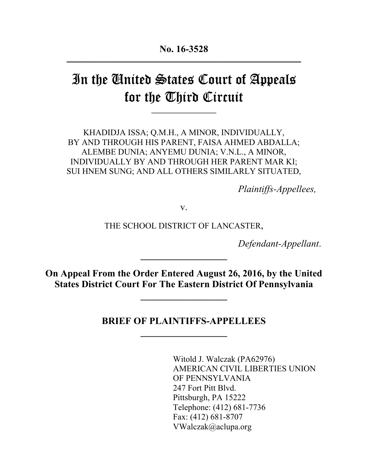# In the United States Court of Appeals for the Third Circuit

**\_\_\_\_\_\_\_\_\_\_\_\_\_\_\_\_\_\_**

KHADIDJA ISSA; Q.M.H., A MINOR, INDIVIDUALLY, BY AND THROUGH HIS PARENT, FAISA AHMED ABDALLA; ALEMBE DUNIA; ANYEMU DUNIA; V.N.L., A MINOR, INDIVIDUALLY BY AND THROUGH HER PARENT MAR KI; SUI HNEM SUNG; AND ALL OTHERS SIMILARLY SITUATED,

*Plaintiffs-Appellees,*

v.

THE SCHOOL DISTRICT OF LANCASTER,

*Defendant-Appellant*.

**On Appeal From the Order Entered August 26, 2016, by the United States District Court For The Eastern District Of Pennsylvania**

**\_\_\_\_\_\_\_\_\_\_\_\_\_\_\_\_\_\_**

**\_\_\_\_\_\_\_\_\_\_\_\_\_\_\_\_\_\_**

**BRIEF OF PLAINTIFFS-APPELLEES \_\_\_\_\_\_\_\_\_\_\_\_\_\_\_\_\_\_**

> Witold J. Walczak (PA62976) AMERICAN CIVIL LIBERTIES UNION OF PENNSYLVANIA 247 Fort Pitt Blvd. Pittsburgh, PA 15222 Telephone: (412) 681-7736 Fax: (412) 681-8707 VWalczak@aclupa.org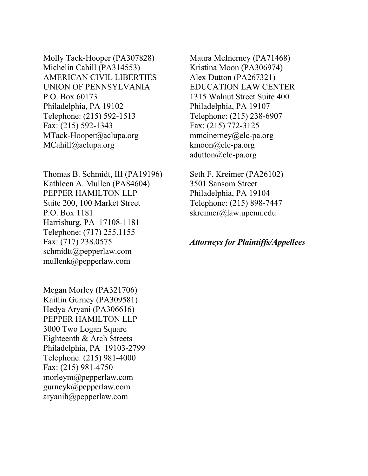Molly Tack-Hooper (PA307828) Michelin Cahill (PA314553) AMERICAN CIVIL LIBERTIES UNION OF PENNSYLVANIA P.O. Box 60173 Philadelphia, PA 19102 Telephone: (215) 592-1513 Fax: (215) 592-1343 MTack-Hooper@aclupa.org MCahill@aclupa.org

Thomas B. Schmidt, III (PA19196) Kathleen A. Mullen (PA84604) PEPPER HAMILTON LLP Suite 200, 100 Market Street P.O. Box 1181 Harrisburg, PA 17108-1181 Telephone: (717) 255.1155 Fax: (717) 238.0575 schmidtt@pepperlaw.com mullenk@pepperlaw.com

Megan Morley (PA321706) Kaitlin Gurney (PA309581) Hedya Aryani (PA306616) PEPPER HAMILTON LLP 3000 Two Logan Square Eighteenth & Arch Streets Philadelphia, PA 19103-2799 Telephone: (215) 981-4000 Fax: (215) 981-4750 morleym@pepperlaw.com gurneyk@pepperlaw.com aryanih@pepperlaw.com

Maura McInerney (PA71468) Kristina Moon (PA306974) Alex Dutton (PA267321) EDUCATION LAW CENTER 1315 Walnut Street Suite 400 Philadelphia, PA 19107 Telephone: (215) 238-6907 Fax: (215) 772-3125 mmcinerney@elc-pa.org kmoon@elc-pa.org adutton@elc-pa.org

Seth F. Kreimer (PA26102) 3501 Sansom Street Philadelphia, PA 19104 Telephone: (215) 898-7447 skreimer@law.upenn.edu

#### *Attorneys for Plaintiffs/Appellees*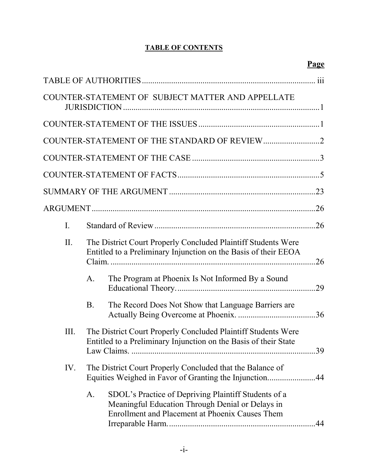## **TABLE OF CONTENTS**

|     |                                                                                                                                         |                                                                                                                                                             | Page |
|-----|-----------------------------------------------------------------------------------------------------------------------------------------|-------------------------------------------------------------------------------------------------------------------------------------------------------------|------|
|     |                                                                                                                                         |                                                                                                                                                             |      |
|     |                                                                                                                                         | COUNTER-STATEMENT OF SUBJECT MATTER AND APPELLATE                                                                                                           |      |
|     |                                                                                                                                         |                                                                                                                                                             |      |
|     |                                                                                                                                         |                                                                                                                                                             |      |
|     |                                                                                                                                         |                                                                                                                                                             |      |
|     |                                                                                                                                         |                                                                                                                                                             |      |
|     |                                                                                                                                         |                                                                                                                                                             |      |
|     |                                                                                                                                         |                                                                                                                                                             |      |
| I.  |                                                                                                                                         |                                                                                                                                                             |      |
| II. |                                                                                                                                         | The District Court Properly Concluded Plaintiff Students Were<br>Entitled to a Preliminary Injunction on the Basis of their EEOA                            |      |
|     | A.                                                                                                                                      | The Program at Phoenix Is Not Informed By a Sound                                                                                                           |      |
|     | <b>B</b> .                                                                                                                              | The Record Does Not Show that Language Barriers are                                                                                                         |      |
| Ш.  | The District Court Properly Concluded Plaintiff Students Were<br>Entitled to a Preliminary Injunction on the Basis of their State<br>39 |                                                                                                                                                             |      |
| IV. | The District Court Properly Concluded that the Balance of<br>Equities Weighed in Favor of Granting the Injunction44                     |                                                                                                                                                             |      |
|     | A.                                                                                                                                      | SDOL's Practice of Depriving Plaintiff Students of a<br>Meaningful Education Through Denial or Delays in<br>Enrollment and Placement at Phoenix Causes Them |      |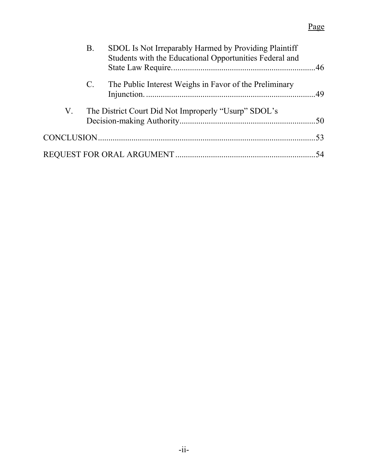## Page

|    | В.          | SDOL Is Not Irreparably Harmed by Providing Plaintiff<br>Students with the Educational Opportunities Federal and |  |
|----|-------------|------------------------------------------------------------------------------------------------------------------|--|
|    | $C_{\cdot}$ | The Public Interest Weighs in Favor of the Preliminary                                                           |  |
| V. |             | The District Court Did Not Improperly "Usurp" SDOL's                                                             |  |
|    |             |                                                                                                                  |  |
|    |             |                                                                                                                  |  |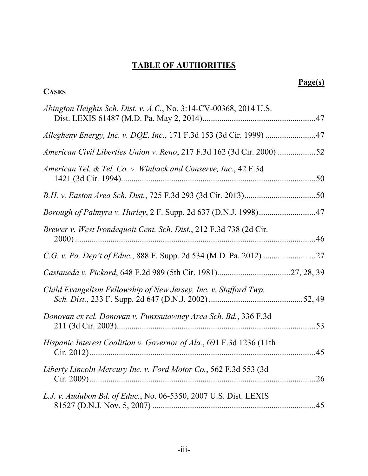## **TABLE OF AUTHORITIES**

**CASES**

## **Page(s)**

| Abington Heights Sch. Dist. v. A.C., No. 3:14-CV-00368, 2014 U.S.      |     |
|------------------------------------------------------------------------|-----|
|                                                                        |     |
| American Civil Liberties Union v. Reno, 217 F.3d 162 (3d Cir. 2000) 52 |     |
| American Tel. & Tel. Co. v. Winback and Conserve, Inc., 42 F.3d        |     |
|                                                                        |     |
|                                                                        |     |
| Brewer v. West Irondequoit Cent. Sch. Dist., 212 F.3d 738 (2d Cir.     |     |
|                                                                        |     |
|                                                                        |     |
| Child Evangelism Fellowship of New Jersey, Inc. v. Stafford Twp.       |     |
| Donovan ex rel. Donovan v. Punxsutawney Area Sch. Bd., 336 F.3d        |     |
| Hispanic Interest Coalition v. Governor of Ala., 691 F.3d 1236 (11th   | 45  |
| Liberty Lincoln-Mercury Inc. v. Ford Motor Co., 562 F.3d 553 (3d       | .26 |
| L.J. v. Audubon Bd. of Educ., No. 06-5350, 2007 U.S. Dist. LEXIS       | 45  |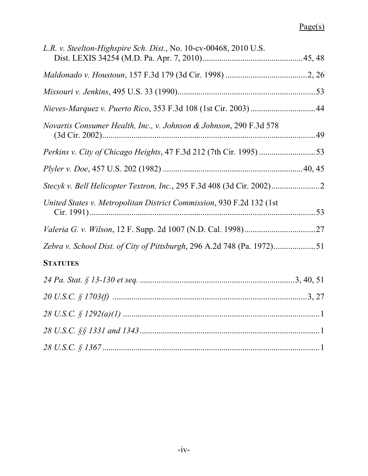## Page(s)

| L.R. v. Steelton-Highspire Sch. Dist., No. 10-cv-00468, 2010 U.S.      |  |
|------------------------------------------------------------------------|--|
|                                                                        |  |
|                                                                        |  |
|                                                                        |  |
| Novartis Consumer Health, Inc., v. Johnson & Johnson, 290 F.3d 578     |  |
|                                                                        |  |
|                                                                        |  |
|                                                                        |  |
| United States v. Metropolitan District Commission, 930 F.2d 132 (1st)  |  |
|                                                                        |  |
| Zebra v. School Dist. of City of Pittsburgh, 296 A.2d 748 (Pa. 1972)51 |  |
| <b>STATUTES</b>                                                        |  |
|                                                                        |  |
|                                                                        |  |
|                                                                        |  |
|                                                                        |  |
| $28 \text{ U.S.C.} \$ 1367 \dots$                                      |  |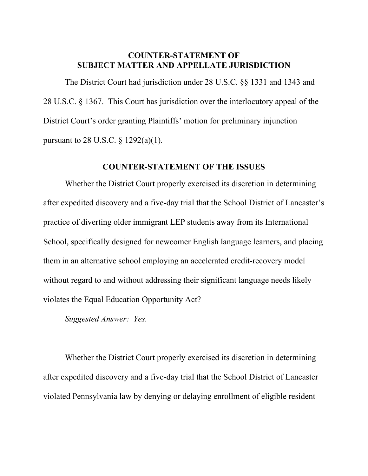## <span id="page-6-3"></span>**COUNTER-STATEMENT OF SUBJECT MATTER AND APPELLATE JURISDICTION**

<span id="page-6-4"></span>The District Court had jurisdiction under 28 U.S.C. §§ 1331 and 1343 and 28 U.S.C. § 1367. This Court has jurisdiction over the interlocutory appeal of the District Court's order granting Plaintiffs' motion for preliminary injunction pursuant to 28 U.S.C. § 1292(a)(1).

### <span id="page-6-2"></span><span id="page-6-1"></span>**COUNTER-STATEMENT OF THE ISSUES**

Whether the District Court properly exercised its discretion in determining after expedited discovery and a five-day trial that the School District of Lancaster's practice of diverting older immigrant LEP students away from its International School, specifically designed for newcomer English language learners, and placing them in an alternative school employing an accelerated credit-recovery model without regard to and without addressing their significant language needs likely violates the Equal Education Opportunity Act?

*Suggested Answer: Yes.*

<span id="page-6-0"></span>Whether the District Court properly exercised its discretion in determining after expedited discovery and a five-day trial that the School District of Lancaster violated Pennsylvania law by denying or delaying enrollment of eligible resident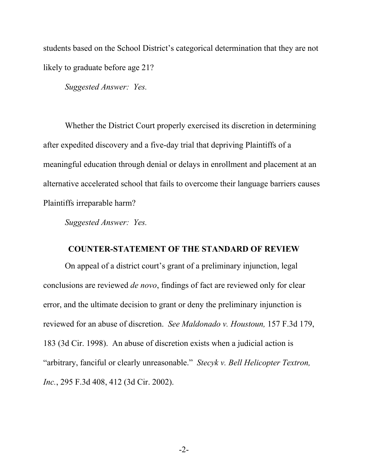students based on the School District's categorical determination that they are not likely to graduate before age 21?

*Suggested Answer: Yes.*

Whether the District Court properly exercised its discretion in determining after expedited discovery and a five-day trial that depriving Plaintiffs of a meaningful education through denial or delays in enrollment and placement at an alternative accelerated school that fails to overcome their language barriers causes Plaintiffs irreparable harm?

*Suggested Answer: Yes.*

### <span id="page-7-2"></span><span id="page-7-1"></span><span id="page-7-0"></span>**COUNTER-STATEMENT OF THE STANDARD OF REVIEW**

On appeal of a district court's grant of a preliminary injunction, legal conclusions are reviewed *de novo*, findings of fact are reviewed only for clear error, and the ultimate decision to grant or deny the preliminary injunction is reviewed for an abuse of discretion. *See Maldonado v. Houstoun,* 157 F.3d 179, 183 (3d Cir. 1998). An abuse of discretion exists when a judicial action is "arbitrary, fanciful or clearly unreasonable." *Stecyk v. Bell Helicopter Textron, Inc.*, 295 F.3d 408, 412 (3d Cir. 2002).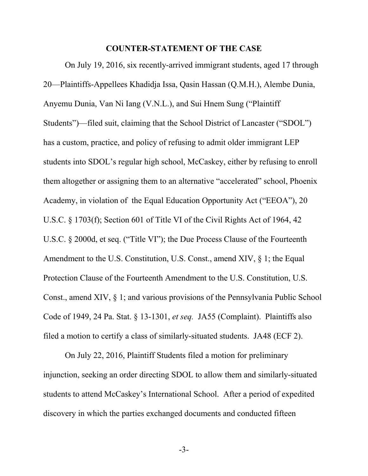#### <span id="page-8-1"></span><span id="page-8-0"></span>**COUNTER-STATEMENT OF THE CASE**

On July 19, 2016, six recently-arrived immigrant students, aged 17 through 20—Plaintiffs-Appellees Khadidja Issa, Qasin Hassan (Q.M.H.), Alembe Dunia, Anyemu Dunia, Van Ni Iang (V.N.L.), and Sui Hnem Sung ("Plaintiff Students")—filed suit, claiming that the School District of Lancaster ("SDOL") has a custom, practice, and policy of refusing to admit older immigrant LEP students into SDOL's regular high school, McCaskey, either by refusing to enroll them altogether or assigning them to an alternative "accelerated" school, Phoenix Academy, in violation of the Equal Education Opportunity Act ("EEOA"), 20 U.S.C. § 1703(f); Section 601 of Title VI of the Civil Rights Act of 1964, 42 U.S.C. § 2000d, et seq. ("Title VI"); the Due Process Clause of the Fourteenth Amendment to the U.S. Constitution, U.S. Const., amend XIV, § 1; the Equal Protection Clause of the Fourteenth Amendment to the U.S. Constitution, U.S. Const., amend XIV, § 1; and various provisions of the Pennsylvania Public School Code of 1949, 24 Pa. Stat. § 13-1301, *et seq.* JA55 (Complaint). Plaintiffs also filed a motion to certify a class of similarly-situated students. JA48 (ECF 2).

On July 22, 2016, Plaintiff Students filed a motion for preliminary injunction, seeking an order directing SDOL to allow them and similarly-situated students to attend McCaskey's International School. After a period of expedited discovery in which the parties exchanged documents and conducted fifteen

-3-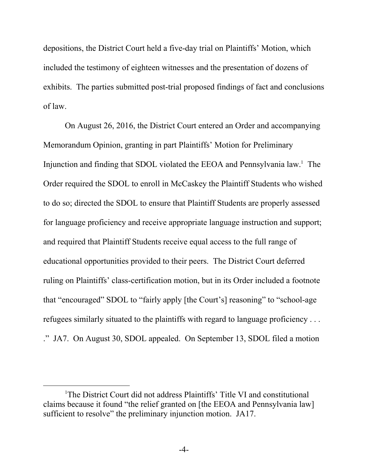depositions, the District Court held a five-day trial on Plaintiffs' Motion, which included the testimony of eighteen witnesses and the presentation of dozens of exhibits. The parties submitted post-trial proposed findings of fact and conclusions of law.

On August 26, 2016, the District Court entered an Order and accompanying Memorandum Opinion, granting in part Plaintiffs' Motion for Preliminary Injunction and finding that SDOL violated the EEOA and Pennsylvania law.<sup>1</sup> The Order required the SDOL to enroll in McCaskey the Plaintiff Students who wished to do so; directed the SDOL to ensure that Plaintiff Students are properly assessed for language proficiency and receive appropriate language instruction and support; and required that Plaintiff Students receive equal access to the full range of educational opportunities provided to their peers. The District Court deferred ruling on Plaintiffs' class-certification motion, but in its Order included a footnote that "encouraged" SDOL to "fairly apply [the Court's] reasoning" to "school-age refugees similarly situated to the plaintiffs with regard to language proficiency . . . ." JA7. On August 30, SDOL appealed. On September 13, SDOL filed a motion

l

<sup>&</sup>lt;sup>1</sup>The District Court did not address Plaintiffs' Title VI and constitutional claims because it found "the relief granted on [the EEOA and Pennsylvania law] sufficient to resolve" the preliminary injunction motion. JA17.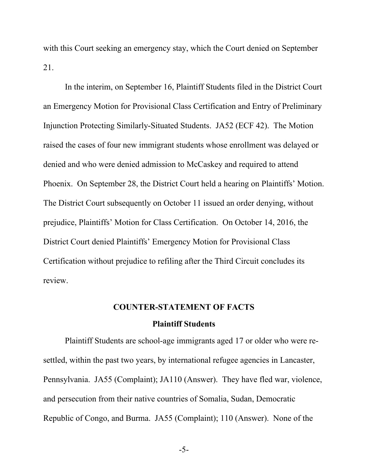with this Court seeking an emergency stay, which the Court denied on September 21.

In the interim, on September 16, Plaintiff Students filed in the District Court an Emergency Motion for Provisional Class Certification and Entry of Preliminary Injunction Protecting Similarly-Situated Students. JA52 (ECF 42). The Motion raised the cases of four new immigrant students whose enrollment was delayed or denied and who were denied admission to McCaskey and required to attend Phoenix. On September 28, the District Court held a hearing on Plaintiffs' Motion. The District Court subsequently on October 11 issued an order denying, without prejudice, Plaintiffs' Motion for Class Certification. On October 14, 2016, the District Court denied Plaintiffs' Emergency Motion for Provisional Class Certification without prejudice to refiling after the Third Circuit concludes its review.

#### <span id="page-10-0"></span>**COUNTER-STATEMENT OF FACTS**

#### **Plaintiff Students**

Plaintiff Students are school-age immigrants aged 17 or older who were resettled, within the past two years, by international refugee agencies in Lancaster, Pennsylvania. JA55 (Complaint); JA110 (Answer). They have fled war, violence, and persecution from their native countries of Somalia, Sudan, Democratic Republic of Congo, and Burma. JA55 (Complaint); 110 (Answer). None of the

-5-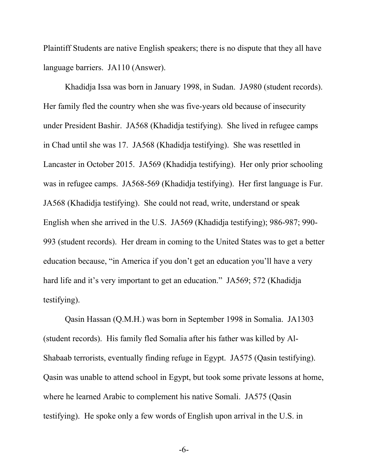Plaintiff Students are native English speakers; there is no dispute that they all have language barriers. JA110 (Answer).

Khadidja Issa was born in January 1998, in Sudan. JA980 (student records). Her family fled the country when she was five-years old because of insecurity under President Bashir. JA568 (Khadidja testifying). She lived in refugee camps in Chad until she was 17. JA568 (Khadidja testifying). She was resettled in Lancaster in October 2015. JA569 (Khadidja testifying). Her only prior schooling was in refugee camps. JA568-569 (Khadidja testifying). Her first language is Fur. JA568 (Khadidja testifying). She could not read, write, understand or speak English when she arrived in the U.S. JA569 (Khadidja testifying); 986-987; 990- 993 (student records). Her dream in coming to the United States was to get a better education because, "in America if you don't get an education you'll have a very hard life and it's very important to get an education." JA569; 572 (Khadidja testifying).

Qasin Hassan (Q.M.H.) was born in September 1998 in Somalia. JA1303 (student records). His family fled Somalia after his father was killed by Al-Shabaab terrorists, eventually finding refuge in Egypt. JA575 (Qasin testifying). Qasin was unable to attend school in Egypt, but took some private lessons at home, where he learned Arabic to complement his native Somali. JA575 (Qasin testifying). He spoke only a few words of English upon arrival in the U.S. in

-6-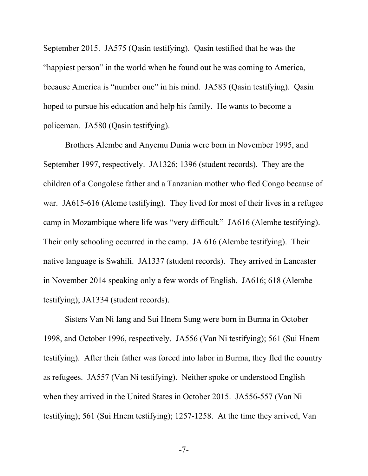September 2015. JA575 (Qasin testifying). Qasin testified that he was the "happiest person" in the world when he found out he was coming to America, because America is "number one" in his mind. JA583 (Qasin testifying). Qasin hoped to pursue his education and help his family. He wants to become a policeman. JA580 (Qasin testifying).

Brothers Alembe and Anyemu Dunia were born in November 1995, and September 1997, respectively. JA1326; 1396 (student records). They are the children of a Congolese father and a Tanzanian mother who fled Congo because of war. JA615-616 (Aleme testifying). They lived for most of their lives in a refugee camp in Mozambique where life was "very difficult." JA616 (Alembe testifying). Their only schooling occurred in the camp. JA 616 (Alembe testifying). Their native language is Swahili. JA1337 (student records). They arrived in Lancaster in November 2014 speaking only a few words of English. JA616; 618 (Alembe testifying); JA1334 (student records).

Sisters Van Ni Iang and Sui Hnem Sung were born in Burma in October 1998, and October 1996, respectively. JA556 (Van Ni testifying); 561 (Sui Hnem testifying). After their father was forced into labor in Burma, they fled the country as refugees. JA557 (Van Ni testifying). Neither spoke or understood English when they arrived in the United States in October 2015. JA556-557 (Van Ni testifying); 561 (Sui Hnem testifying); 1257-1258. At the time they arrived, Van

-7-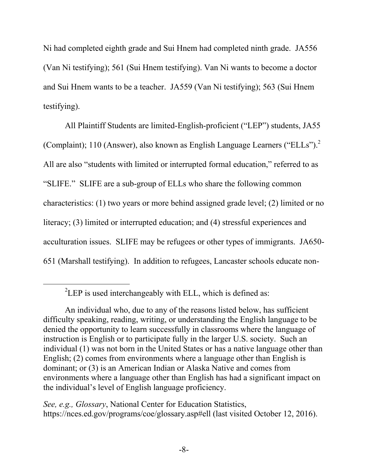Ni had completed eighth grade and Sui Hnem had completed ninth grade. JA556 (Van Ni testifying); 561 (Sui Hnem testifying). Van Ni wants to become a doctor and Sui Hnem wants to be a teacher. JA559 (Van Ni testifying); 563 (Sui Hnem testifying).

All Plaintiff Students are limited-English-proficient ("LEP") students, JA55 (Complaint); 110 (Answer), also known as English Language Learners ("ELLs").<sup>2</sup> All are also "students with limited or interrupted formal education," referred to as "SLIFE." SLIFE are a sub-group of ELLs who share the following common characteristics: (1) two years or more behind assigned grade level; (2) limited or no literacy; (3) limited or interrupted education; and (4) stressful experiences and acculturation issues. SLIFE may be refugees or other types of immigrants. JA650- 651 (Marshall testifying). In addition to refugees, Lancaster schools educate non-

 $\overline{a}$ 

*See, e.g., Glossary*, National Center for Education Statistics, https://nces.ed.gov/programs/coe/glossary.asp#ell (last visited October 12, 2016).

 ${}^{2}$ LEP is used interchangeably with ELL, which is defined as:

An individual who, due to any of the reasons listed below, has sufficient difficulty speaking, reading, writing, or understanding the English language to be denied the opportunity to learn successfully in classrooms where the language of instruction is English or to participate fully in the larger U.S. society. Such an individual (1) was not born in the United States or has a native language other than English; (2) comes from environments where a language other than English is dominant; or (3) is an American Indian or Alaska Native and comes from environments where a language other than English has had a significant impact on the individual's level of English language proficiency.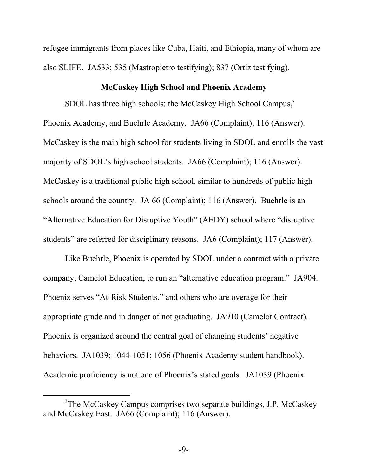refugee immigrants from places like Cuba, Haiti, and Ethiopia, many of whom are also SLIFE. JA533; 535 (Mastropietro testifying); 837 (Ortiz testifying).

## **McCaskey High School and Phoenix Academy**

SDOL has three high schools: the McCaskey High School Campus,<sup>3</sup> Phoenix Academy, and Buehrle Academy. JA66 (Complaint); 116 (Answer). McCaskey is the main high school for students living in SDOL and enrolls the vast majority of SDOL's high school students. JA66 (Complaint); 116 (Answer). McCaskey is a traditional public high school, similar to hundreds of public high schools around the country. JA 66 (Complaint); 116 (Answer). Buehrle is an "Alternative Education for Disruptive Youth" (AEDY) school where "disruptive students" are referred for disciplinary reasons. JA6 (Complaint); 117 (Answer).

Like Buehrle, Phoenix is operated by SDOL under a contract with a private company, Camelot Education, to run an "alternative education program." JA904. Phoenix serves "At-Risk Students," and others who are overage for their appropriate grade and in danger of not graduating. JA910 (Camelot Contract). Phoenix is organized around the central goal of changing students' negative behaviors. JA1039; 1044-1051; 1056 (Phoenix Academy student handbook). Academic proficiency is not one of Phoenix's stated goals. JA1039 (Phoenix

l

<sup>&</sup>lt;sup>3</sup>The McCaskey Campus comprises two separate buildings, J.P. McCaskey and McCaskey East. JA66 (Complaint); 116 (Answer).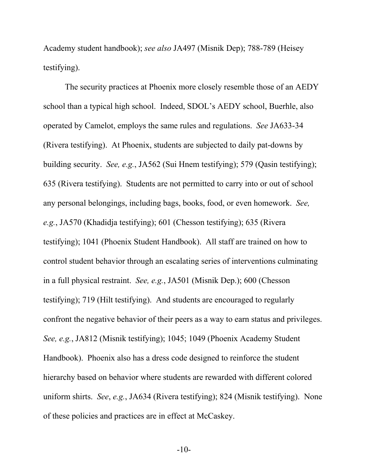Academy student handbook); *see also* JA497 (Misnik Dep); 788-789 (Heisey testifying).

The security practices at Phoenix more closely resemble those of an AEDY school than a typical high school. Indeed, SDOL's AEDY school, Buerhle, also operated by Camelot, employs the same rules and regulations. *See* JA633-34 (Rivera testifying). At Phoenix, students are subjected to daily pat-downs by building security. *See, e.g.*, JA562 (Sui Hnem testifying); 579 (Qasin testifying); 635 (Rivera testifying). Students are not permitted to carry into or out of school any personal belongings, including bags, books, food, or even homework. *See, e.g.*, JA570 (Khadidja testifying); 601 (Chesson testifying); 635 (Rivera testifying); 1041 (Phoenix Student Handbook). All staff are trained on how to control student behavior through an escalating series of interventions culminating in a full physical restraint. *See, e.g.*, JA501 (Misnik Dep.); 600 (Chesson testifying); 719 (Hilt testifying). And students are encouraged to regularly confront the negative behavior of their peers as a way to earn status and privileges. *See, e.g.*, JA812 (Misnik testifying); 1045; 1049 (Phoenix Academy Student Handbook). Phoenix also has a dress code designed to reinforce the student hierarchy based on behavior where students are rewarded with different colored uniform shirts. *See*, *e.g.*, JA634 (Rivera testifying); 824 (Misnik testifying). None of these policies and practices are in effect at McCaskey.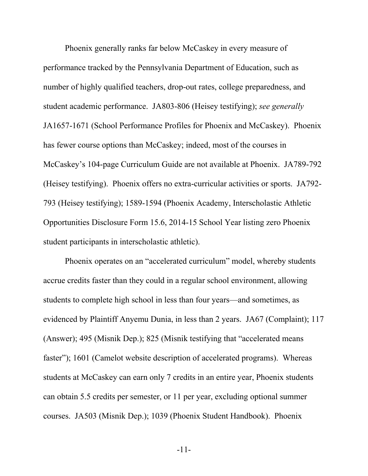Phoenix generally ranks far below McCaskey in every measure of performance tracked by the Pennsylvania Department of Education, such as number of highly qualified teachers, drop-out rates, college preparedness, and student academic performance. JA803-806 (Heisey testifying); *see generally* JA1657-1671 (School Performance Profiles for Phoenix and McCaskey). Phoenix has fewer course options than McCaskey; indeed, most of the courses in McCaskey's 104-page Curriculum Guide are not available at Phoenix. JA789-792 (Heisey testifying). Phoenix offers no extra-curricular activities or sports. JA792- 793 (Heisey testifying); 1589-1594 (Phoenix Academy, Interscholastic Athletic Opportunities Disclosure Form 15.6, 2014-15 School Year listing zero Phoenix student participants in interscholastic athletic).

Phoenix operates on an "accelerated curriculum" model, whereby students accrue credits faster than they could in a regular school environment, allowing students to complete high school in less than four years—and sometimes, as evidenced by Plaintiff Anyemu Dunia, in less than 2 years. JA67 (Complaint); 117 (Answer); 495 (Misnik Dep.); 825 (Misnik testifying that "accelerated means faster"); 1601 (Camelot website description of accelerated programs). Whereas students at McCaskey can earn only 7 credits in an entire year, Phoenix students can obtain 5.5 credits per semester, or 11 per year, excluding optional summer courses. JA503 (Misnik Dep.); 1039 (Phoenix Student Handbook). Phoenix

-11-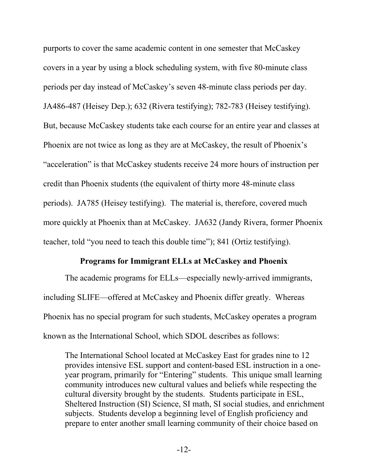purports to cover the same academic content in one semester that McCaskey covers in a year by using a block scheduling system, with five 80-minute class periods per day instead of McCaskey's seven 48-minute class periods per day. JA486-487 (Heisey Dep.); 632 (Rivera testifying); 782-783 (Heisey testifying). But, because McCaskey students take each course for an entire year and classes at Phoenix are not twice as long as they are at McCaskey, the result of Phoenix's "acceleration" is that McCaskey students receive 24 more hours of instruction per credit than Phoenix students (the equivalent of thirty more 48-minute class periods). JA785 (Heisey testifying). The material is, therefore, covered much more quickly at Phoenix than at McCaskey. JA632 (Jandy Rivera, former Phoenix teacher, told "you need to teach this double time"); 841 (Ortiz testifying).

### **Programs for Immigrant ELLs at McCaskey and Phoenix**

The academic programs for ELLs—especially newly-arrived immigrants, including SLIFE—offered at McCaskey and Phoenix differ greatly. Whereas Phoenix has no special program for such students, McCaskey operates a program known as the International School, which SDOL describes as follows:

The International School located at McCaskey East for grades nine to 12 provides intensive ESL support and content-based ESL instruction in a oneyear program, primarily for "Entering" students. This unique small learning community introduces new cultural values and beliefs while respecting the cultural diversity brought by the students. Students participate in ESL, Sheltered Instruction (SI) Science, SI math, SI social studies, and enrichment subjects. Students develop a beginning level of English proficiency and prepare to enter another small learning community of their choice based on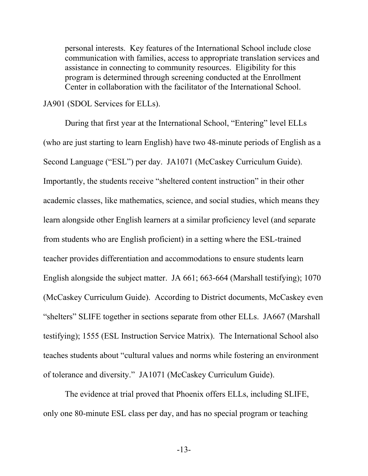personal interests. Key features of the International School include close communication with families, access to appropriate translation services and assistance in connecting to community resources. Eligibility for this program is determined through screening conducted at the Enrollment Center in collaboration with the facilitator of the International School.

JA901 (SDOL Services for ELLs).

During that first year at the International School, "Entering" level ELLs (who are just starting to learn English) have two 48-minute periods of English as a Second Language ("ESL") per day. JA1071 (McCaskey Curriculum Guide). Importantly, the students receive "sheltered content instruction" in their other academic classes, like mathematics, science, and social studies, which means they learn alongside other English learners at a similar proficiency level (and separate from students who are English proficient) in a setting where the ESL-trained teacher provides differentiation and accommodations to ensure students learn English alongside the subject matter. JA 661; 663-664 (Marshall testifying); 1070 (McCaskey Curriculum Guide). According to District documents, McCaskey even "shelters" SLIFE together in sections separate from other ELLs. JA667 (Marshall testifying); 1555 (ESL Instruction Service Matrix). The International School also teaches students about "cultural values and norms while fostering an environment of tolerance and diversity." JA1071 (McCaskey Curriculum Guide).

The evidence at trial proved that Phoenix offers ELLs, including SLIFE, only one 80-minute ESL class per day, and has no special program or teaching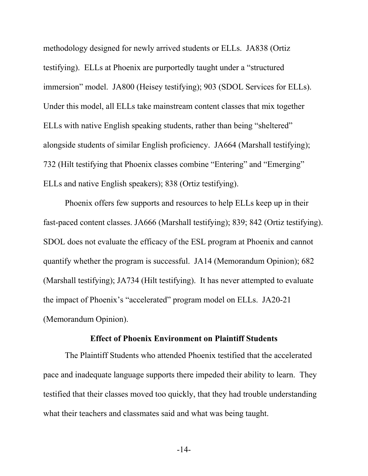methodology designed for newly arrived students or ELLs. JA838 (Ortiz testifying). ELLs at Phoenix are purportedly taught under a "structured immersion" model. JA800 (Heisey testifying); 903 (SDOL Services for ELLs). Under this model, all ELLs take mainstream content classes that mix together ELLs with native English speaking students, rather than being "sheltered" alongside students of similar English proficiency. JA664 (Marshall testifying); 732 (Hilt testifying that Phoenix classes combine "Entering" and "Emerging" ELLs and native English speakers); 838 (Ortiz testifying).

Phoenix offers few supports and resources to help ELLs keep up in their fast-paced content classes. JA666 (Marshall testifying); 839; 842 (Ortiz testifying). SDOL does not evaluate the efficacy of the ESL program at Phoenix and cannot quantify whether the program is successful. JA14 (Memorandum Opinion); 682 (Marshall testifying); JA734 (Hilt testifying). It has never attempted to evaluate the impact of Phoenix's "accelerated" program model on ELLs. JA20-21 (Memorandum Opinion).

#### **Effect of Phoenix Environment on Plaintiff Students**

The Plaintiff Students who attended Phoenix testified that the accelerated pace and inadequate language supports there impeded their ability to learn. They testified that their classes moved too quickly, that they had trouble understanding what their teachers and classmates said and what was being taught.

-14-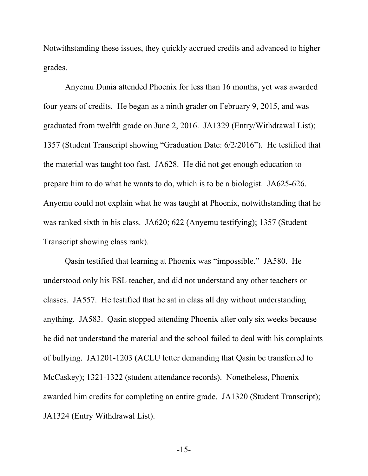Notwithstanding these issues, they quickly accrued credits and advanced to higher grades.

Anyemu Dunia attended Phoenix for less than 16 months, yet was awarded four years of credits. He began as a ninth grader on February 9, 2015, and was graduated from twelfth grade on June 2, 2016. JA1329 (Entry/Withdrawal List); 1357 (Student Transcript showing "Graduation Date: 6/2/2016"). He testified that the material was taught too fast. JA628. He did not get enough education to prepare him to do what he wants to do, which is to be a biologist. JA625-626. Anyemu could not explain what he was taught at Phoenix, notwithstanding that he was ranked sixth in his class. JA620; 622 (Anyemu testifying); 1357 (Student Transcript showing class rank).

Qasin testified that learning at Phoenix was "impossible." JA580. He understood only his ESL teacher, and did not understand any other teachers or classes. JA557. He testified that he sat in class all day without understanding anything. JA583. Qasin stopped attending Phoenix after only six weeks because he did not understand the material and the school failed to deal with his complaints of bullying. JA1201-1203 (ACLU letter demanding that Qasin be transferred to McCaskey); 1321-1322 (student attendance records). Nonetheless, Phoenix awarded him credits for completing an entire grade. JA1320 (Student Transcript); JA1324 (Entry Withdrawal List).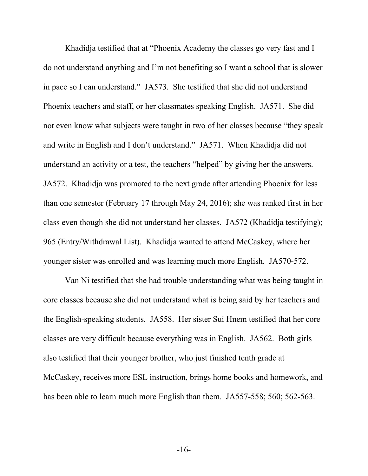Khadidja testified that at "Phoenix Academy the classes go very fast and I do not understand anything and I'm not benefiting so I want a school that is slower in pace so I can understand." JA573. She testified that she did not understand Phoenix teachers and staff, or her classmates speaking English. JA571. She did not even know what subjects were taught in two of her classes because "they speak and write in English and I don't understand." JA571. When Khadidja did not understand an activity or a test, the teachers "helped" by giving her the answers. JA572. Khadidja was promoted to the next grade after attending Phoenix for less than one semester (February 17 through May 24, 2016); she was ranked first in her class even though she did not understand her classes. JA572 (Khadidja testifying); 965 (Entry/Withdrawal List). Khadidja wanted to attend McCaskey, where her younger sister was enrolled and was learning much more English. JA570-572.

Van Ni testified that she had trouble understanding what was being taught in core classes because she did not understand what is being said by her teachers and the English-speaking students. JA558. Her sister Sui Hnem testified that her core classes are very difficult because everything was in English. JA562. Both girls also testified that their younger brother, who just finished tenth grade at McCaskey, receives more ESL instruction, brings home books and homework, and has been able to learn much more English than them. JA557-558; 560; 562-563.

-16-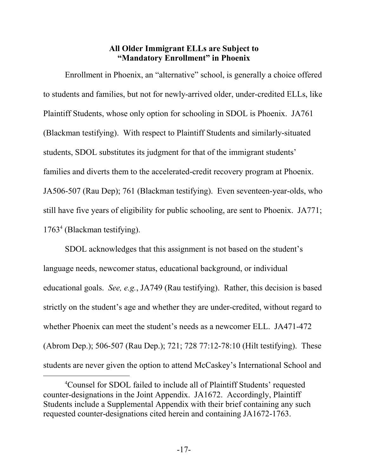## **All Older Immigrant ELLs are Subject to "Mandatory Enrollment" in Phoenix**

Enrollment in Phoenix, an "alternative" school, is generally a choice offered to students and families, but not for newly-arrived older, under-credited ELLs, like Plaintiff Students, whose only option for schooling in SDOL is Phoenix. JA761 (Blackman testifying). With respect to Plaintiff Students and similarly-situated students, SDOL substitutes its judgment for that of the immigrant students' families and diverts them to the accelerated-credit recovery program at Phoenix. JA506-507 (Rau Dep); 761 (Blackman testifying). Even seventeen-year-olds, who still have five years of eligibility for public schooling, are sent to Phoenix. JA771; 1763<sup>4</sup> (Blackman testifying).

SDOL acknowledges that this assignment is not based on the student's language needs, newcomer status, educational background, or individual educational goals. *See, e.g.*, JA749 (Rau testifying). Rather, this decision is based strictly on the student's age and whether they are under-credited, without regard to whether Phoenix can meet the student's needs as a newcomer ELL. JA471-472 (Abrom Dep.); 506-507 (Rau Dep.); 721; 728 77:12-78:10 (Hilt testifying). These students are never given the option to attend McCaskey's International School and

l

<sup>4</sup>Counsel for SDOL failed to include all of Plaintiff Students' requested counter-designations in the Joint Appendix. JA1672. Accordingly, Plaintiff Students include a Supplemental Appendix with their brief containing any such requested counter-designations cited herein and containing JA1672-1763.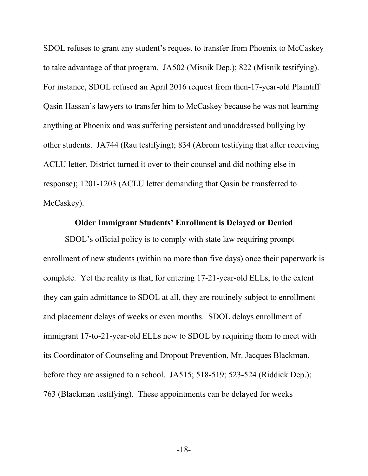SDOL refuses to grant any student's request to transfer from Phoenix to McCaskey to take advantage of that program. JA502 (Misnik Dep.); 822 (Misnik testifying). For instance, SDOL refused an April 2016 request from then-17-year-old Plaintiff Qasin Hassan's lawyers to transfer him to McCaskey because he was not learning anything at Phoenix and was suffering persistent and unaddressed bullying by other students. JA744 (Rau testifying); 834 (Abrom testifying that after receiving ACLU letter, District turned it over to their counsel and did nothing else in response); 1201-1203 (ACLU letter demanding that Qasin be transferred to McCaskey).

#### **Older Immigrant Students' Enrollment is Delayed or Denied**

SDOL's official policy is to comply with state law requiring prompt enrollment of new students (within no more than five days) once their paperwork is complete. Yet the reality is that, for entering 17-21-year-old ELLs, to the extent they can gain admittance to SDOL at all, they are routinely subject to enrollment and placement delays of weeks or even months. SDOL delays enrollment of immigrant 17-to-21-year-old ELLs new to SDOL by requiring them to meet with its Coordinator of Counseling and Dropout Prevention, Mr. Jacques Blackman, before they are assigned to a school. JA515; 518-519; 523-524 (Riddick Dep.); 763 (Blackman testifying). These appointments can be delayed for weeks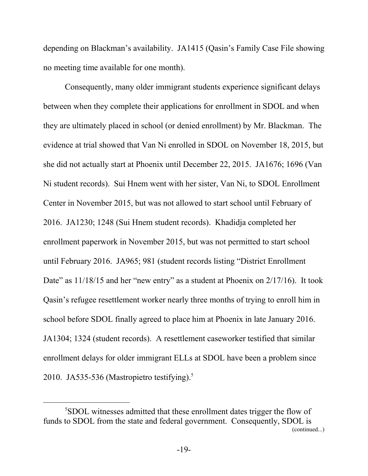depending on Blackman's availability. JA1415 (Qasin's Family Case File showing no meeting time available for one month).

Consequently, many older immigrant students experience significant delays between when they complete their applications for enrollment in SDOL and when they are ultimately placed in school (or denied enrollment) by Mr. Blackman. The evidence at trial showed that Van Ni enrolled in SDOL on November 18, 2015, but she did not actually start at Phoenix until December 22, 2015. JA1676; 1696 (Van Ni student records). Sui Hnem went with her sister, Van Ni, to SDOL Enrollment Center in November 2015, but was not allowed to start school until February of 2016. JA1230; 1248 (Sui Hnem student records). Khadidja completed her enrollment paperwork in November 2015, but was not permitted to start school until February 2016. JA965; 981 (student records listing "District Enrollment Date" as  $11/18/15$  and her "new entry" as a student at Phoenix on  $2/17/16$ ). It took Qasin's refugee resettlement worker nearly three months of trying to enroll him in school before SDOL finally agreed to place him at Phoenix in late January 2016. JA1304; 1324 (student records). A resettlement caseworker testified that similar enrollment delays for older immigrant ELLs at SDOL have been a problem since 2010. JA535-536 (Mastropietro testifying). $5$ 

l

<sup>5</sup>SDOL witnesses admitted that these enrollment dates trigger the flow of funds to SDOL from the state and federal government. Consequently, SDOL is (continued...)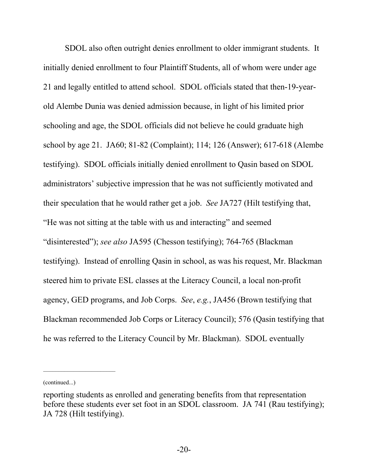SDOL also often outright denies enrollment to older immigrant students. It initially denied enrollment to four Plaintiff Students, all of whom were under age 21 and legally entitled to attend school. SDOL officials stated that then-19-yearold Alembe Dunia was denied admission because, in light of his limited prior schooling and age, the SDOL officials did not believe he could graduate high school by age 21. JA60; 81-82 (Complaint); 114; 126 (Answer); 617-618 (Alembe testifying). SDOL officials initially denied enrollment to Qasin based on SDOL administrators' subjective impression that he was not sufficiently motivated and their speculation that he would rather get a job. *See* JA727 (Hilt testifying that, "He was not sitting at the table with us and interacting" and seemed "disinterested"); *see also* JA595 (Chesson testifying); 764-765 (Blackman testifying). Instead of enrolling Qasin in school, as was his request, Mr. Blackman steered him to private ESL classes at the Literacy Council, a local non-profit agency, GED programs, and Job Corps. *See*, *e.g.*, JA456 (Brown testifying that Blackman recommended Job Corps or Literacy Council); 576 (Qasin testifying that he was referred to the Literacy Council by Mr. Blackman). SDOL eventually

<sup>(</sup>continued...)

reporting students as enrolled and generating benefits from that representation before these students ever set foot in an SDOL classroom. JA 741 (Rau testifying); JA 728 (Hilt testifying).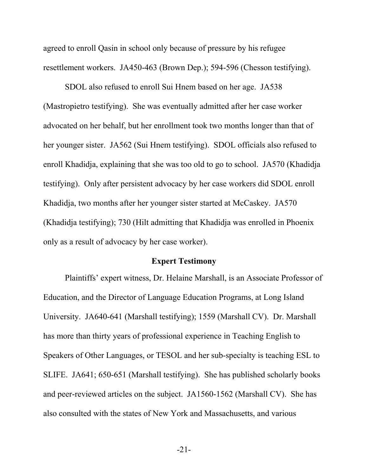agreed to enroll Qasin in school only because of pressure by his refugee resettlement workers. JA450-463 (Brown Dep.); 594-596 (Chesson testifying).

SDOL also refused to enroll Sui Hnem based on her age. JA538 (Mastropietro testifying). She was eventually admitted after her case worker advocated on her behalf, but her enrollment took two months longer than that of her younger sister. JA562 (Sui Hnem testifying). SDOL officials also refused to enroll Khadidja, explaining that she was too old to go to school. JA570 (Khadidja testifying). Only after persistent advocacy by her case workers did SDOL enroll Khadidja, two months after her younger sister started at McCaskey. JA570 (Khadidja testifying); 730 (Hilt admitting that Khadidja was enrolled in Phoenix only as a result of advocacy by her case worker).

#### **Expert Testimony**

Plaintiffs' expert witness, Dr. Helaine Marshall, is an Associate Professor of Education, and the Director of Language Education Programs, at Long Island University. JA640-641 (Marshall testifying); 1559 (Marshall CV). Dr. Marshall has more than thirty years of professional experience in Teaching English to Speakers of Other Languages, or TESOL and her sub-specialty is teaching ESL to SLIFE. JA641; 650-651 (Marshall testifying). She has published scholarly books and peer-reviewed articles on the subject. JA1560-1562 (Marshall CV). She has also consulted with the states of New York and Massachusetts, and various

-21-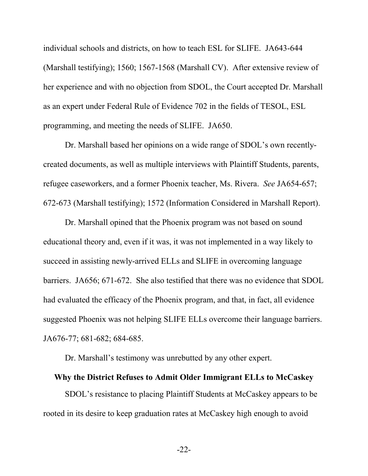individual schools and districts, on how to teach ESL for SLIFE. JA643-644 (Marshall testifying); 1560; 1567-1568 (Marshall CV). After extensive review of her experience and with no objection from SDOL, the Court accepted Dr. Marshall as an expert under Federal Rule of Evidence 702 in the fields of TESOL, ESL programming, and meeting the needs of SLIFE. JA650.

Dr. Marshall based her opinions on a wide range of SDOL's own recentlycreated documents, as well as multiple interviews with Plaintiff Students, parents, refugee caseworkers, and a former Phoenix teacher, Ms. Rivera. *See* JA654-657; 672-673 (Marshall testifying); 1572 (Information Considered in Marshall Report).

Dr. Marshall opined that the Phoenix program was not based on sound educational theory and, even if it was, it was not implemented in a way likely to succeed in assisting newly-arrived ELLs and SLIFE in overcoming language barriers. JA656; 671-672. She also testified that there was no evidence that SDOL had evaluated the efficacy of the Phoenix program, and that, in fact, all evidence suggested Phoenix was not helping SLIFE ELLs overcome their language barriers. JA676-77; 681-682; 684-685.

Dr. Marshall's testimony was unrebutted by any other expert.

#### **Why the District Refuses to Admit Older Immigrant ELLs to McCaskey**

SDOL's resistance to placing Plaintiff Students at McCaskey appears to be rooted in its desire to keep graduation rates at McCaskey high enough to avoid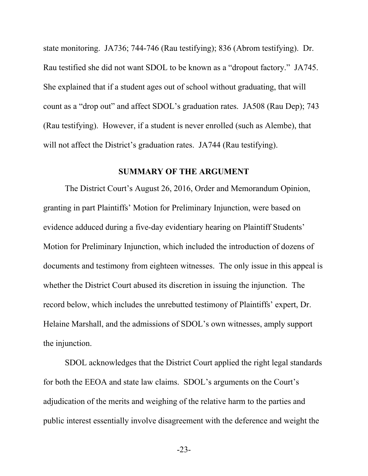state monitoring. JA736; 744-746 (Rau testifying); 836 (Abrom testifying). Dr. Rau testified she did not want SDOL to be known as a "dropout factory." JA745. She explained that if a student ages out of school without graduating, that will count as a "drop out" and affect SDOL's graduation rates. JA508 (Rau Dep); 743 (Rau testifying). However, if a student is never enrolled (such as Alembe), that will not affect the District's graduation rates. JA744 (Rau testifying).

#### <span id="page-28-0"></span>**SUMMARY OF THE ARGUMENT**

The District Court's August 26, 2016, Order and Memorandum Opinion, granting in part Plaintiffs' Motion for Preliminary Injunction, were based on evidence adduced during a five-day evidentiary hearing on Plaintiff Students' Motion for Preliminary Injunction, which included the introduction of dozens of documents and testimony from eighteen witnesses. The only issue in this appeal is whether the District Court abused its discretion in issuing the injunction. The record below, which includes the unrebutted testimony of Plaintiffs' expert, Dr. Helaine Marshall, and the admissions of SDOL's own witnesses, amply support the injunction.

SDOL acknowledges that the District Court applied the right legal standards for both the EEOA and state law claims. SDOL's arguments on the Court's adjudication of the merits and weighing of the relative harm to the parties and public interest essentially involve disagreement with the deference and weight the

-23-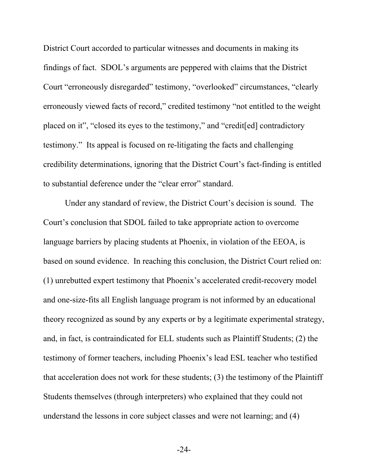District Court accorded to particular witnesses and documents in making its findings of fact. SDOL's arguments are peppered with claims that the District Court "erroneously disregarded" testimony, "overlooked" circumstances, "clearly erroneously viewed facts of record," credited testimony "not entitled to the weight placed on it", "closed its eyes to the testimony," and "credit[ed] contradictory testimony." Its appeal is focused on re-litigating the facts and challenging credibility determinations, ignoring that the District Court's fact-finding is entitled to substantial deference under the "clear error" standard.

Under any standard of review, the District Court's decision is sound. The Court's conclusion that SDOL failed to take appropriate action to overcome language barriers by placing students at Phoenix, in violation of the EEOA, is based on sound evidence. In reaching this conclusion, the District Court relied on: (1) unrebutted expert testimony that Phoenix's accelerated credit-recovery model and one-size-fits all English language program is not informed by an educational theory recognized as sound by any experts or by a legitimate experimental strategy, and, in fact, is contraindicated for ELL students such as Plaintiff Students; (2) the testimony of former teachers, including Phoenix's lead ESL teacher who testified that acceleration does not work for these students; (3) the testimony of the Plaintiff Students themselves (through interpreters) who explained that they could not understand the lessons in core subject classes and were not learning; and (4)

-24-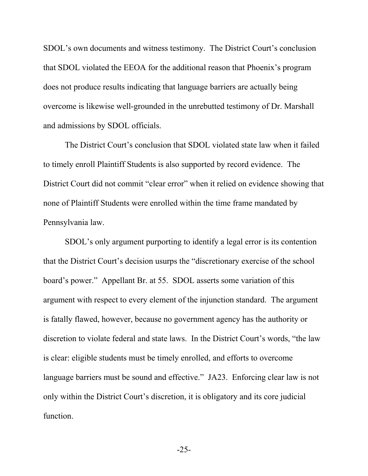SDOL's own documents and witness testimony. The District Court's conclusion that SDOL violated the EEOA for the additional reason that Phoenix's program does not produce results indicating that language barriers are actually being overcome is likewise well-grounded in the unrebutted testimony of Dr. Marshall and admissions by SDOL officials.

The District Court's conclusion that SDOL violated state law when it failed to timely enroll Plaintiff Students is also supported by record evidence. The District Court did not commit "clear error" when it relied on evidence showing that none of Plaintiff Students were enrolled within the time frame mandated by Pennsylvania law.

SDOL's only argument purporting to identify a legal error is its contention that the District Court's decision usurps the "discretionary exercise of the school board's power." Appellant Br. at 55. SDOL asserts some variation of this argument with respect to every element of the injunction standard. The argument is fatally flawed, however, because no government agency has the authority or discretion to violate federal and state laws. In the District Court's words, "the law is clear: eligible students must be timely enrolled, and efforts to overcome language barriers must be sound and effective." JA23. Enforcing clear law is not only within the District Court's discretion, it is obligatory and its core judicial function.

-25-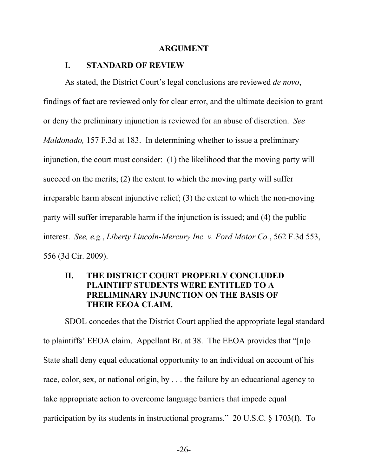#### <span id="page-31-1"></span><span id="page-31-0"></span>**ARGUMENT**

#### **I. STANDARD OF REVIEW**

<span id="page-31-4"></span>As stated, the District Court's legal conclusions are reviewed *de novo*, findings of fact are reviewed only for clear error, and the ultimate decision to grant or deny the preliminary injunction is reviewed for an abuse of discretion. *See Maldonado,* 157 F.3d at 183. In determining whether to issue a preliminary injunction, the court must consider: (1) the likelihood that the moving party will succeed on the merits; (2) the extent to which the moving party will suffer irreparable harm absent injunctive relief; (3) the extent to which the non-moving party will suffer irreparable harm if the injunction is issued; and (4) the public interest. *See, e.g.*, *Liberty Lincoln-Mercury Inc. v. Ford Motor Co.*, 562 F.3d 553, 556 (3d Cir. 2009).

## <span id="page-31-3"></span><span id="page-31-2"></span>**II. THE DISTRICT COURT PROPERLY CONCLUDED PLAINTIFF STUDENTS WERE ENTITLED TO A PRELIMINARY INJUNCTION ON THE BASIS OF THEIR EEOA CLAIM.**

<span id="page-31-5"></span>SDOL concedes that the District Court applied the appropriate legal standard to plaintiffs' EEOA claim. Appellant Br. at 38. The EEOA provides that "[n]o State shall deny equal educational opportunity to an individual on account of his race, color, sex, or national origin, by . . . the failure by an educational agency to take appropriate action to overcome language barriers that impede equal participation by its students in instructional programs." 20 U.S.C. § 1703(f). To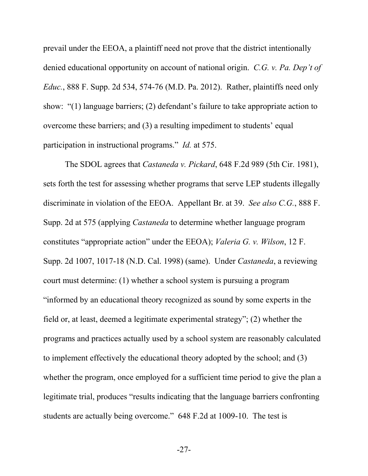<span id="page-32-0"></span>prevail under the EEOA, a plaintiff need not prove that the district intentionally denied educational opportunity on account of national origin. *C.G. v. Pa. Dep't of Educ.*, 888 F. Supp. 2d 534, 574-76 (M.D. Pa. 2012). Rather, plaintiffs need only show: "(1) language barriers; (2) defendant's failure to take appropriate action to overcome these barriers; and (3) a resulting impediment to students' equal participation in instructional programs." *Id.* at 575.

<span id="page-32-3"></span><span id="page-32-1"></span>The SDOL agrees that *Castaneda v. Pickard*, 648 F.2d 989 (5th Cir. 1981), sets forth the test for assessing whether programs that serve LEP students illegally discriminate in violation of the EEOA. Appellant Br. at 39. *See also C.G.*, 888 F. Supp. 2d at 575 (applying *Castaneda* to determine whether language program constitutes "appropriate action" under the EEOA); *Valeria G. v. Wilson*, 12 F. Supp. 2d 1007, 1017-18 (N.D. Cal. 1998) (same). Under *Castaneda*, a reviewing court must determine: (1) whether a school system is pursuing a program "informed by an educational theory recognized as sound by some experts in the field or, at least, deemed a legitimate experimental strategy"; (2) whether the programs and practices actually used by a school system are reasonably calculated to implement effectively the educational theory adopted by the school; and (3) whether the program, once employed for a sufficient time period to give the plan a legitimate trial, produces "results indicating that the language barriers confronting students are actually being overcome." 648 F.2d at 1009-10. The test is

<span id="page-32-2"></span>-27-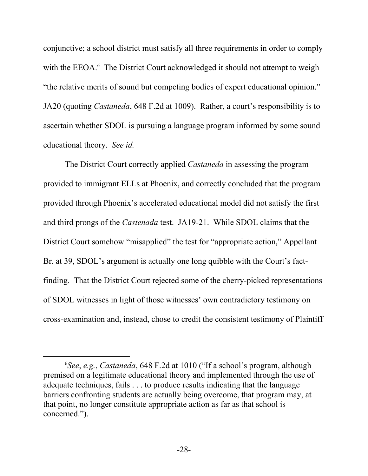conjunctive; a school district must satisfy all three requirements in order to comply with the EEOA.<sup>6</sup> The District Court acknowledged it should not attempt to weigh "the relative merits of sound but competing bodies of expert educational opinion." JA20 (quoting *Castaneda*, 648 F.2d at 1009). Rather, a court's responsibility is to ascertain whether SDOL is pursuing a language program informed by some sound educational theory. *See id.*

The District Court correctly applied *Castaneda* in assessing the program provided to immigrant ELLs at Phoenix, and correctly concluded that the program provided through Phoenix's accelerated educational model did not satisfy the first and third prongs of the *Castenada* test. JA19-21. While SDOL claims that the District Court somehow "misapplied" the test for "appropriate action," Appellant Br. at 39, SDOL's argument is actually one long quibble with the Court's factfinding. That the District Court rejected some of the cherry-picked representations of SDOL witnesses in light of those witnesses' own contradictory testimony on cross-examination and, instead, chose to credit the consistent testimony of Plaintiff

l

<sup>6</sup> *See*, *e.g.*, *Castaneda*, 648 F.2d at 1010 ("If a school's program, although premised on a legitimate educational theory and implemented through the use of adequate techniques, fails . . . to produce results indicating that the language barriers confronting students are actually being overcome, that program may, at that point, no longer constitute appropriate action as far as that school is concerned.").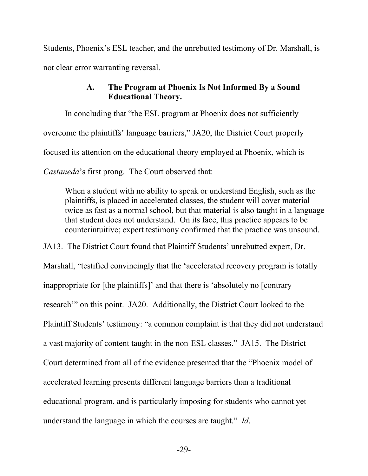Students, Phoenix's ESL teacher, and the unrebutted testimony of Dr. Marshall, is not clear error warranting reversal.

## <span id="page-34-0"></span>**A. The Program at Phoenix Is Not Informed By a Sound Educational Theory.**

In concluding that "the ESL program at Phoenix does not sufficiently overcome the plaintiffs' language barriers," JA20, the District Court properly focused its attention on the educational theory employed at Phoenix, which is *Castaneda*'s first prong. The Court observed that:

When a student with no ability to speak or understand English, such as the plaintiffs, is placed in accelerated classes, the student will cover material twice as fast as a normal school, but that material is also taught in a language that student does not understand. On its face, this practice appears to be counterintuitive; expert testimony confirmed that the practice was unsound.

JA13. The District Court found that Plaintiff Students' unrebutted expert, Dr.

Marshall, "testified convincingly that the 'accelerated recovery program is totally inappropriate for [the plaintiffs]' and that there is 'absolutely no [contrary research'" on this point. JA20. Additionally, the District Court looked to the Plaintiff Students' testimony: "a common complaint is that they did not understand a vast majority of content taught in the non-ESL classes." JA15. The District Court determined from all of the evidence presented that the "Phoenix model of accelerated learning presents different language barriers than a traditional educational program, and is particularly imposing for students who cannot yet understand the language in which the courses are taught." *Id*.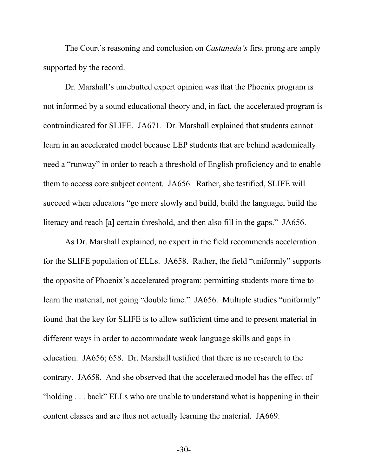The Court's reasoning and conclusion on *Castaneda's* first prong are amply supported by the record.

Dr. Marshall's unrebutted expert opinion was that the Phoenix program is not informed by a sound educational theory and, in fact, the accelerated program is contraindicated for SLIFE. JA671. Dr. Marshall explained that students cannot learn in an accelerated model because LEP students that are behind academically need a "runway" in order to reach a threshold of English proficiency and to enable them to access core subject content. JA656. Rather, she testified, SLIFE will succeed when educators "go more slowly and build, build the language, build the literacy and reach [a] certain threshold, and then also fill in the gaps." JA656.

As Dr. Marshall explained, no expert in the field recommends acceleration for the SLIFE population of ELLs. JA658. Rather, the field "uniformly" supports the opposite of Phoenix's accelerated program: permitting students more time to learn the material, not going "double time." JA656. Multiple studies "uniformly" found that the key for SLIFE is to allow sufficient time and to present material in different ways in order to accommodate weak language skills and gaps in education. JA656; 658. Dr. Marshall testified that there is no research to the contrary. JA658. And she observed that the accelerated model has the effect of "holding . . . back" ELLs who are unable to understand what is happening in their content classes and are thus not actually learning the material. JA669.

-30-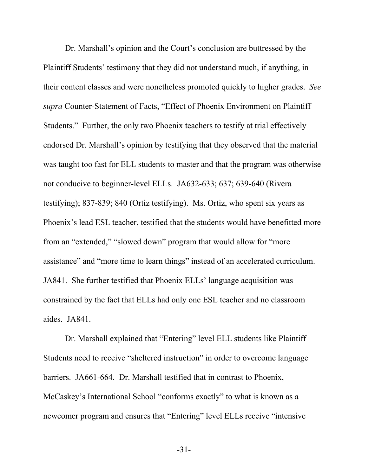Dr. Marshall's opinion and the Court's conclusion are buttressed by the Plaintiff Students' testimony that they did not understand much, if anything, in their content classes and were nonetheless promoted quickly to higher grades. *See supra* Counter-Statement of Facts, "Effect of Phoenix Environment on Plaintiff Students." Further, the only two Phoenix teachers to testify at trial effectively endorsed Dr. Marshall's opinion by testifying that they observed that the material was taught too fast for ELL students to master and that the program was otherwise not conducive to beginner-level ELLs. JA632-633; 637; 639-640 (Rivera testifying); 837-839; 840 (Ortiz testifying). Ms. Ortiz, who spent six years as Phoenix's lead ESL teacher, testified that the students would have benefitted more from an "extended," "slowed down" program that would allow for "more assistance" and "more time to learn things" instead of an accelerated curriculum. JA841. She further testified that Phoenix ELLs' language acquisition was constrained by the fact that ELLs had only one ESL teacher and no classroom aides. JA841.

Dr. Marshall explained that "Entering" level ELL students like Plaintiff Students need to receive "sheltered instruction" in order to overcome language barriers. JA661-664. Dr. Marshall testified that in contrast to Phoenix, McCaskey's International School "conforms exactly" to what is known as a newcomer program and ensures that "Entering" level ELLs receive "intensive

-31-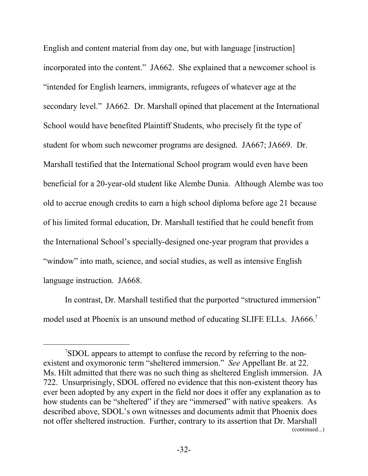English and content material from day one, but with language [instruction] incorporated into the content." JA662. She explained that a newcomer school is "intended for English learners, immigrants, refugees of whatever age at the secondary level." JA662. Dr. Marshall opined that placement at the International School would have benefited Plaintiff Students, who precisely fit the type of student for whom such newcomer programs are designed. JA667; JA669. Dr. Marshall testified that the International School program would even have been beneficial for a 20-year-old student like Alembe Dunia. Although Alembe was too old to accrue enough credits to earn a high school diploma before age 21 because of his limited formal education, Dr. Marshall testified that he could benefit from the International School's specially-designed one-year program that provides a "window" into math, science, and social studies, as well as intensive English language instruction. JA668.

In contrast, Dr. Marshall testified that the purported "structured immersion" model used at Phoenix is an unsound method of educating SLIFE ELLs. JA666.<sup>7</sup>

 $\overline{a}$ 

<sup>7</sup>SDOL appears to attempt to confuse the record by referring to the nonexistent and oxymoronic term "sheltered immersion." *See* Appellant Br. at 22. Ms. Hilt admitted that there was no such thing as sheltered English immersion. JA 722. Unsurprisingly, SDOL offered no evidence that this non-existent theory has ever been adopted by any expert in the field nor does it offer any explanation as to how students can be "sheltered" if they are "immersed" with native speakers. As described above, SDOL's own witnesses and documents admit that Phoenix does not offer sheltered instruction. Further, contrary to its assertion that Dr. Marshall (continued...)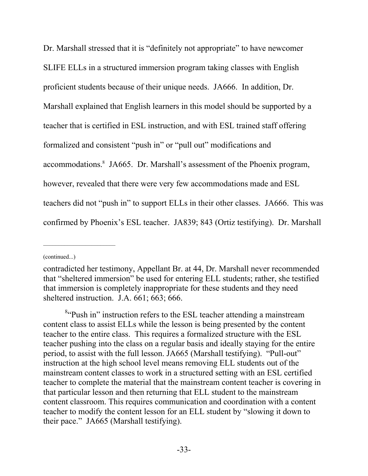Dr. Marshall stressed that it is "definitely not appropriate" to have newcomer SLIFE ELLs in a structured immersion program taking classes with English proficient students because of their unique needs. JA666. In addition, Dr. Marshall explained that English learners in this model should be supported by a teacher that is certified in ESL instruction, and with ESL trained staff offering formalized and consistent "push in" or "pull out" modifications and accommodations.<sup>8</sup> JA665. Dr. Marshall's assessment of the Phoenix program, however, revealed that there were very few accommodations made and ESL teachers did not "push in" to support ELLs in their other classes. JA666. This was confirmed by Phoenix's ESL teacher. JA839; 843 (Ortiz testifying). Dr. Marshall

(continued...)

contradicted her testimony, Appellant Br. at 44, Dr. Marshall never recommended that "sheltered immersion" be used for entering ELL students; rather, she testified that immersion is completely inappropriate for these students and they need sheltered instruction. J.A. 661; 663; 666.

<sup>&</sup>lt;sup>8</sup>"Push in" instruction refers to the ESL teacher attending a mainstream content class to assist ELLs while the lesson is being presented by the content teacher to the entire class. This requires a formalized structure with the ESL teacher pushing into the class on a regular basis and ideally staying for the entire period, to assist with the full lesson. JA665 (Marshall testifying). "Pull-out" instruction at the high school level means removing ELL students out of the mainstream content classes to work in a structured setting with an ESL certified teacher to complete the material that the mainstream content teacher is covering in that particular lesson and then returning that ELL student to the mainstream content classroom. This requires communication and coordination with a content teacher to modify the content lesson for an ELL student by "slowing it down to their pace." JA665 (Marshall testifying).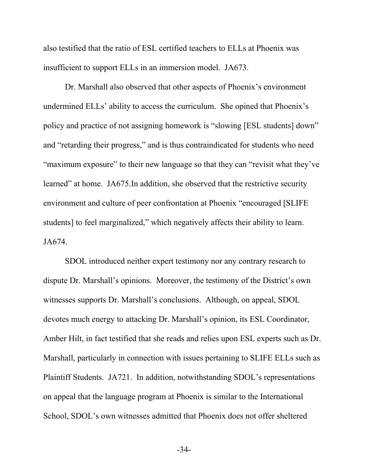also testified that the ratio of ESL certified teachers to ELLs at Phoenix was insufficient to support ELLs in an immersion model. JA673.

Dr. Marshall also observed that other aspects of Phoenix's environment undermined ELLs' ability to access the curriculum. She opined that Phoenix's policy and practice of not assigning homework is "slowing [ESL students] down" and "retarding their progress," and is thus contraindicated for students who need "maximum exposure" to their new language so that they can "revisit what they've learned" at home. JA675.In addition, she observed that the restrictive security environment and culture of peer confrontation at Phoenix "encouraged [SLIFE students] to feel marginalized," which negatively affects their ability to learn. JA674.

SDOL introduced neither expert testimony nor any contrary research to dispute Dr. Marshall's opinions. Moreover, the testimony of the District's own witnesses supports Dr. Marshall's conclusions. Although, on appeal, SDOL devotes much energy to attacking Dr. Marshall's opinion, its ESL Coordinator, Amber Hilt, in fact testified that she reads and relies upon ESL experts such as Dr. Marshall, particularly in connection with issues pertaining to SLIFE ELLs such as Plaintiff Students. JA721. In addition, notwithstanding SDOL's representations on appeal that the language program at Phoenix is similar to the International School, SDOL's own witnesses admitted that Phoenix does not offer sheltered

-34-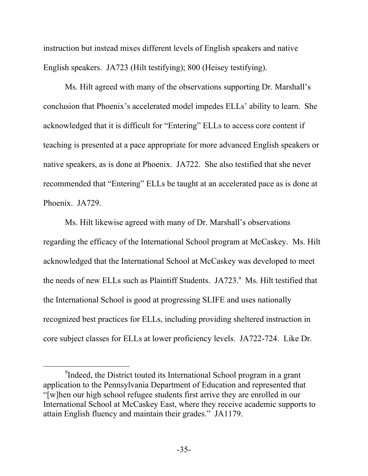instruction but instead mixes different levels of English speakers and native English speakers. JA723 (Hilt testifying); 800 (Heisey testifying).

Ms. Hilt agreed with many of the observations supporting Dr. Marshall's conclusion that Phoenix's accelerated model impedes ELLs' ability to learn. She acknowledged that it is difficult for "Entering" ELLs to access core content if teaching is presented at a pace appropriate for more advanced English speakers or native speakers, as is done at Phoenix. JA722. She also testified that she never recommended that "Entering" ELLs be taught at an accelerated pace as is done at Phoenix. JA729.

Ms. Hilt likewise agreed with many of Dr. Marshall's observations regarding the efficacy of the International School program at McCaskey. Ms. Hilt acknowledged that the International School at McCaskey was developed to meet the needs of new ELLs such as Plaintiff Students. JA723.<sup>9</sup> Ms. Hilt testified that the International School is good at progressing SLIFE and uses nationally recognized best practices for ELLs, including providing sheltered instruction in core subject classes for ELLs at lower proficiency levels. JA722-724. Like Dr.

l

<sup>&</sup>lt;sup>9</sup>Indeed, the District touted its International School program in a grant application to the Pennsylvania Department of Education and represented that "[w]hen our high school refugee students first arrive they are enrolled in our International School at McCaskey East, where they receive academic supports to attain English fluency and maintain their grades." JA1179.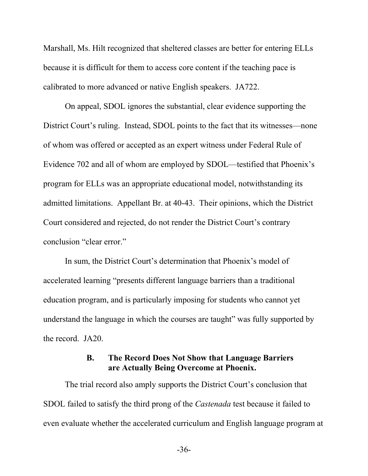Marshall, Ms. Hilt recognized that sheltered classes are better for entering ELLs because it is difficult for them to access core content if the teaching pace is calibrated to more advanced or native English speakers. JA722.

On appeal, SDOL ignores the substantial, clear evidence supporting the District Court's ruling. Instead, SDOL points to the fact that its witnesses—none of whom was offered or accepted as an expert witness under Federal Rule of Evidence 702 and all of whom are employed by SDOL—testified that Phoenix's program for ELLs was an appropriate educational model, notwithstanding its admitted limitations. Appellant Br. at 40-43. Their opinions, which the District Court considered and rejected, do not render the District Court's contrary conclusion "clear error."

In sum, the District Court's determination that Phoenix's model of accelerated learning "presents different language barriers than a traditional education program, and is particularly imposing for students who cannot yet understand the language in which the courses are taught" was fully supported by the record. JA20.

## <span id="page-41-0"></span>**B. The Record Does Not Show that Language Barriers are Actually Being Overcome at Phoenix.**

The trial record also amply supports the District Court's conclusion that SDOL failed to satisfy the third prong of the *Castenada* test because it failed to even evaluate whether the accelerated curriculum and English language program at

-36-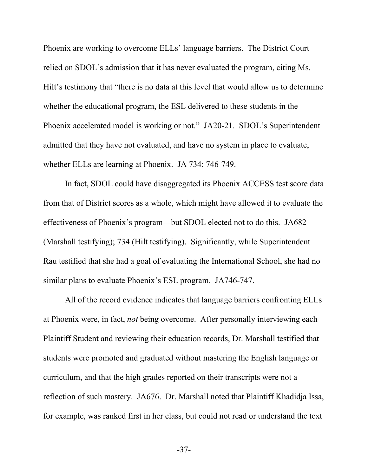Phoenix are working to overcome ELLs' language barriers. The District Court relied on SDOL's admission that it has never evaluated the program, citing Ms. Hilt's testimony that "there is no data at this level that would allow us to determine whether the educational program, the ESL delivered to these students in the Phoenix accelerated model is working or not." JA20-21. SDOL's Superintendent admitted that they have not evaluated, and have no system in place to evaluate, whether ELLs are learning at Phoenix. JA 734; 746-749.

In fact, SDOL could have disaggregated its Phoenix ACCESS test score data from that of District scores as a whole, which might have allowed it to evaluate the effectiveness of Phoenix's program—but SDOL elected not to do this. JA682 (Marshall testifying); 734 (Hilt testifying). Significantly, while Superintendent Rau testified that she had a goal of evaluating the International School, she had no similar plans to evaluate Phoenix's ESL program. JA746-747.

All of the record evidence indicates that language barriers confronting ELLs at Phoenix were, in fact, *not* being overcome. After personally interviewing each Plaintiff Student and reviewing their education records, Dr. Marshall testified that students were promoted and graduated without mastering the English language or curriculum, and that the high grades reported on their transcripts were not a reflection of such mastery. JA676. Dr. Marshall noted that Plaintiff Khadidja Issa, for example, was ranked first in her class, but could not read or understand the text

-37-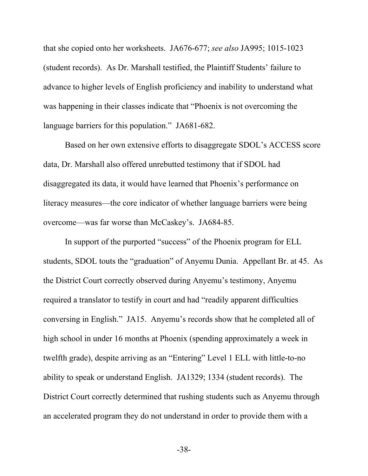that she copied onto her worksheets. JA676-677; *see also* JA995; 1015-1023 (student records). As Dr. Marshall testified, the Plaintiff Students' failure to advance to higher levels of English proficiency and inability to understand what was happening in their classes indicate that "Phoenix is not overcoming the language barriers for this population." JA681-682.

Based on her own extensive efforts to disaggregate SDOL's ACCESS score data, Dr. Marshall also offered unrebutted testimony that if SDOL had disaggregated its data, it would have learned that Phoenix's performance on literacy measures—the core indicator of whether language barriers were being overcome—was far worse than McCaskey's. JA684-85.

In support of the purported "success" of the Phoenix program for ELL students, SDOL touts the "graduation" of Anyemu Dunia. Appellant Br. at 45. As the District Court correctly observed during Anyemu's testimony, Anyemu required a translator to testify in court and had "readily apparent difficulties conversing in English." JA15. Anyemu's records show that he completed all of high school in under 16 months at Phoenix (spending approximately a week in twelfth grade), despite arriving as an "Entering" Level 1 ELL with little-to-no ability to speak or understand English. JA1329; 1334 (student records). The District Court correctly determined that rushing students such as Anyemu through an accelerated program they do not understand in order to provide them with a

-38-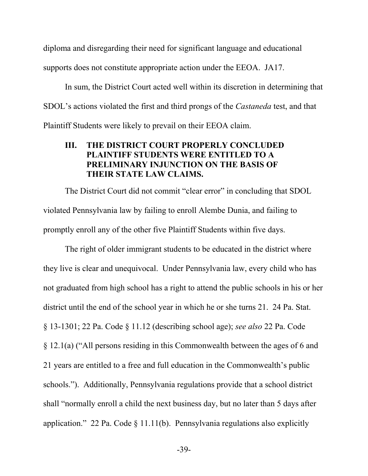diploma and disregarding their need for significant language and educational supports does not constitute appropriate action under the EEOA. JA17.

In sum, the District Court acted well within its discretion in determining that SDOL's actions violated the first and third prongs of the *Castaneda* test, and that Plaintiff Students were likely to prevail on their EEOA claim.

## <span id="page-44-1"></span><span id="page-44-0"></span>**III. THE DISTRICT COURT PROPERLY CONCLUDED PLAINTIFF STUDENTS WERE ENTITLED TO A PRELIMINARY INJUNCTION ON THE BASIS OF THEIR STATE LAW CLAIMS.**

The District Court did not commit "clear error" in concluding that SDOL violated Pennsylvania law by failing to enroll Alembe Dunia, and failing to promptly enroll any of the other five Plaintiff Students within five days.

<span id="page-44-2"></span>The right of older immigrant students to be educated in the district where they live is clear and unequivocal. Under Pennsylvania law, every child who has not graduated from high school has a right to attend the public schools in his or her district until the end of the school year in which he or she turns 21. 24 Pa. Stat. § 13-1301; 22 Pa. Code § 11.12 (describing school age); *see also* 22 Pa. Code § 12.1(a) ("All persons residing in this Commonwealth between the ages of 6 and 21 years are entitled to a free and full education in the Commonwealth's public schools."). Additionally, Pennsylvania regulations provide that a school district shall "normally enroll a child the next business day, but no later than 5 days after application." 22 Pa. Code  $\S$  11.11(b). Pennsylvania regulations also explicitly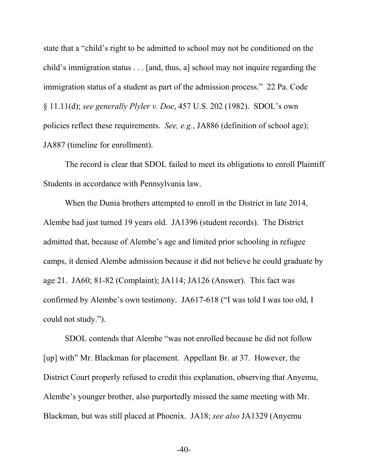<span id="page-45-0"></span>state that a "child's right to be admitted to school may not be conditioned on the child's immigration status . . . [and, thus, a] school may not inquire regarding the immigration status of a student as part of the admission process." 22 Pa. Code § 11.11(d); *see generally Plyler v. Doe*, 457 U.S. 202 (1982). SDOL's own policies reflect these requirements. *See, e.g.*, JA886 (definition of school age); JA887 (timeline for enrollment).

The record is clear that SDOL failed to meet its obligations to enroll Plaintiff Students in accordance with Pennsylvania law.

When the Dunia brothers attempted to enroll in the District in late 2014, Alembe had just turned 19 years old. JA1396 (student records). The District admitted that, because of Alembe's age and limited prior schooling in refugee camps, it denied Alembe admission because it did not believe he could graduate by age 21. JA60; 81-82 (Complaint); JA114; JA126 (Answer). This fact was confirmed by Alembe's own testimony. JA617-618 ("I was told I was too old, I could not study.").

SDOL contends that Alembe "was not enrolled because he did not follow [up] with" Mr. Blackman for placement. Appellant Br. at 37. However, the District Court properly refused to credit this explanation, observing that Anyemu, Alembe's younger brother, also purportedly missed the same meeting with Mr. Blackman, but was still placed at Phoenix. JA18; *see also* JA1329 (Anyemu

-40-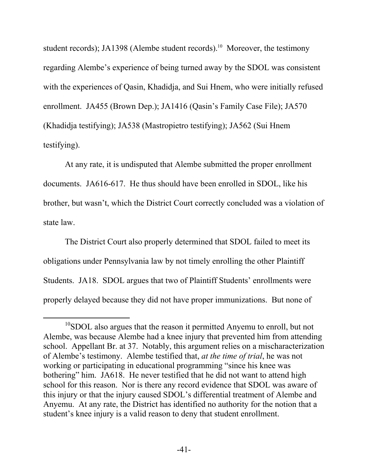student records); JA1398 (Alembe student records).<sup>10</sup> Moreover, the testimony regarding Alembe's experience of being turned away by the SDOL was consistent with the experiences of Qasin, Khadidja, and Sui Hnem, who were initially refused enrollment. JA455 (Brown Dep.); JA1416 (Qasin's Family Case File); JA570 (Khadidja testifying); JA538 (Mastropietro testifying); JA562 (Sui Hnem testifying).

At any rate, it is undisputed that Alembe submitted the proper enrollment documents. JA616-617. He thus should have been enrolled in SDOL, like his brother, but wasn't, which the District Court correctly concluded was a violation of state law.

The District Court also properly determined that SDOL failed to meet its obligations under Pennsylvania law by not timely enrolling the other Plaintiff Students. JA18. SDOL argues that two of Plaintiff Students' enrollments were properly delayed because they did not have proper immunizations. But none of

 $\overline{a}$ 

 $10$ SDOL also argues that the reason it permitted Anyemu to enroll, but not Alembe, was because Alembe had a knee injury that prevented him from attending school. Appellant Br. at 37. Notably, this argument relies on a mischaracterization of Alembe's testimony. Alembe testified that, *at the time of trial*, he was not working or participating in educational programming "since his knee was bothering" him. JA618. He never testified that he did not want to attend high school for this reason. Nor is there any record evidence that SDOL was aware of this injury or that the injury caused SDOL's differential treatment of Alembe and Anyemu. At any rate, the District has identified no authority for the notion that a student's knee injury is a valid reason to deny that student enrollment.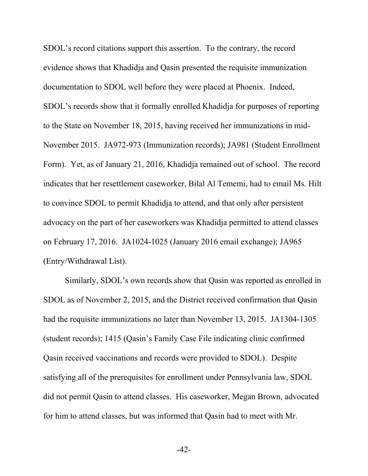SDOL's record citations support this assertion. To the contrary, the record evidence shows that Khadidja and Qasin presented the requisite immunization documentation to SDOL well before they were placed at Phoenix. Indeed, SDOL's records show that it formally enrolled Khadidja for purposes of reporting to the State on November 18, 2015, having received her immunizations in mid-November 2015. JA972-973 (Immunization records); JA981 (Student Enrollment Form). Yet, as of January 21, 2016, Khadidja remained out of school. The record indicates that her resettlement caseworker, Bilal Al Tememi, had to email Ms. Hilt to convince SDOL to permit Khadidja to attend, and that only after persistent advocacy on the part of her caseworkers was Khadidja permitted to attend classes on February 17, 2016. JA1024-1025 (January 2016 email exchange); JA965 (Entry/Withdrawal List).

Similarly, SDOL's own records show that Qasin was reported as enrolled in SDOL as of November 2, 2015, and the District received confirmation that Qasin had the requisite immunizations no later than November 13, 2015. JA1304-1305 (student records); 1415 (Qasin's Family Case File indicating clinic confirmed Qasin received vaccinations and records were provided to SDOL). Despite satisfying all of the prerequisites for enrollment under Pennsylvania law, SDOL did not permit Qasin to attend classes. His caseworker, Megan Brown, advocated for him to attend classes, but was informed that Qasin had to meet with Mr.

-42-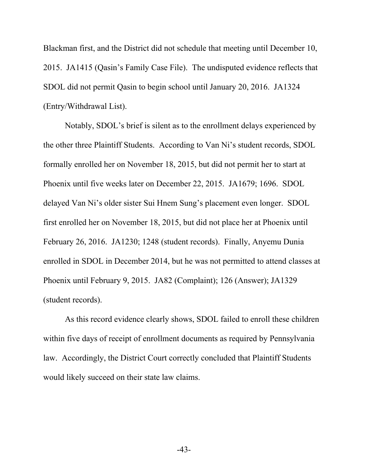Blackman first, and the District did not schedule that meeting until December 10, 2015. JA1415 (Qasin's Family Case File). The undisputed evidence reflects that SDOL did not permit Qasin to begin school until January 20, 2016. JA1324 (Entry/Withdrawal List).

Notably, SDOL's brief is silent as to the enrollment delays experienced by the other three Plaintiff Students. According to Van Ni's student records, SDOL formally enrolled her on November 18, 2015, but did not permit her to start at Phoenix until five weeks later on December 22, 2015. JA1679; 1696. SDOL delayed Van Ni's older sister Sui Hnem Sung's placement even longer. SDOL first enrolled her on November 18, 2015, but did not place her at Phoenix until February 26, 2016. JA1230; 1248 (student records). Finally, Anyemu Dunia enrolled in SDOL in December 2014, but he was not permitted to attend classes at Phoenix until February 9, 2015. JA82 (Complaint); 126 (Answer); JA1329 (student records).

As this record evidence clearly shows, SDOL failed to enroll these children within five days of receipt of enrollment documents as required by Pennsylvania law. Accordingly, the District Court correctly concluded that Plaintiff Students would likely succeed on their state law claims.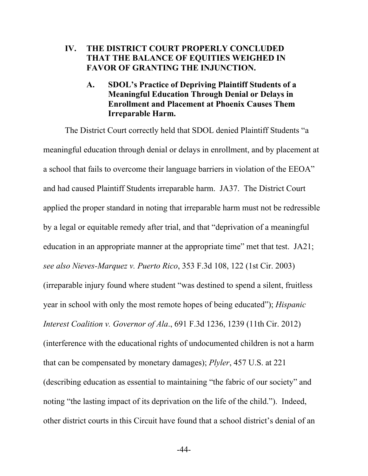## **IV. THE DISTRICT COURT PROPERLY CONCLUDED THAT THE BALANCE OF EQUITIES WEIGHED IN FAVOR OF GRANTING THE INJUNCTION.**

<span id="page-49-2"></span><span id="page-49-1"></span>**A. SDOL's Practice of Depriving Plaintiff Students of a Meaningful Education Through Denial or Delays in Enrollment and Placement at Phoenix Causes Them Irreparable Harm.**

<span id="page-49-4"></span><span id="page-49-3"></span><span id="page-49-0"></span>The District Court correctly held that SDOL denied Plaintiff Students "a meaningful education through denial or delays in enrollment, and by placement at a school that fails to overcome their language barriers in violation of the EEOA" and had caused Plaintiff Students irreparable harm. JA37. The District Court applied the proper standard in noting that irreparable harm must not be redressible by a legal or equitable remedy after trial, and that "deprivation of a meaningful education in an appropriate manner at the appropriate time" met that test. JA21; *see also Nieves-Marquez v. Puerto Rico*, 353 F.3d 108, 122 (1st Cir. 2003) (irreparable injury found where student "was destined to spend a silent, fruitless year in school with only the most remote hopes of being educated"); *Hispanic Interest Coalition v. Governor of Ala*., 691 F.3d 1236, 1239 (11th Cir. 2012) (interference with the educational rights of undocumented children is not a harm that can be compensated by monetary damages); *Plyler*, 457 U.S. at 221 (describing education as essential to maintaining "the fabric of our society" and noting "the lasting impact of its deprivation on the life of the child."). Indeed, other district courts in this Circuit have found that a school district's denial of an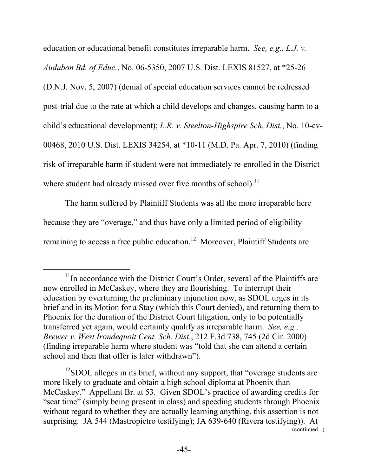<span id="page-50-2"></span><span id="page-50-1"></span>education or educational benefit constitutes irreparable harm. *See, e.g., L.J. v. Audubon Bd. of Educ.*, No. 06-5350, 2007 U.S. Dist. LEXIS 81527, at \*25-26 (D.N.J. Nov. 5, 2007) (denial of special education services cannot be redressed post-trial due to the rate at which a child develops and changes, causing harm to a child's educational development); *L.R. v. Steelton-Highspire Sch. Dist.*, No. 10-cv-00468, 2010 U.S. Dist. LEXIS 34254, at \*10-11 (M.D. Pa. Apr. 7, 2010) (finding risk of irreparable harm if student were not immediately re-enrolled in the District where student had already missed over five months of school).<sup>11</sup>

The harm suffered by Plaintiff Students was all the more irreparable here because they are "overage," and thus have only a limited period of eligibility remaining to access a free public education.<sup>12</sup> Moreover, Plaintiff Students are

l

<span id="page-50-0"></span> $12$ SDOL alleges in its brief, without any support, that "overage students are more likely to graduate and obtain a high school diploma at Phoenix than McCaskey." Appellant Br. at 53. Given SDOL's practice of awarding credits for "seat time" (simply being present in class) and speeding students through Phoenix without regard to whether they are actually learning anything, this assertion is not surprising. JA 544 (Mastropietro testifying); JA 639-640 (Rivera testifying)). At (continued...)

 $11$ In accordance with the District Court's Order, several of the Plaintiffs are now enrolled in McCaskey, where they are flourishing. To interrupt their education by overturning the preliminary injunction now, as SDOL urges in its brief and in its Motion for a Stay (which this Court denied), and returning them to Phoenix for the duration of the District Court litigation, only to be potentially transferred yet again, would certainly qualify as irreparable harm. *See, e.g., Brewer v. West Irondequoit Cent. Sch. Dist*., 212 F.3d 738, 745 (2d Cir. 2000) (finding irreparable harm where student was "told that she can attend a certain school and then that offer is later withdrawn").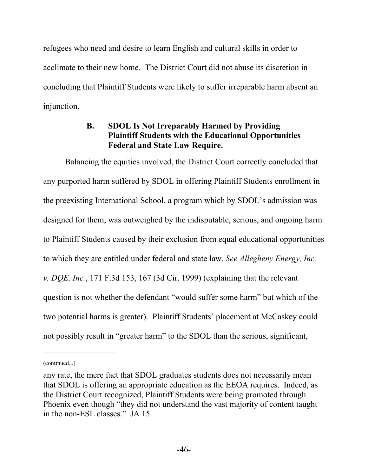refugees who need and desire to learn English and cultural skills in order to acclimate to their new home. The District Court did not abuse its discretion in concluding that Plaintiff Students were likely to suffer irreparable harm absent an injunction.

## <span id="page-51-0"></span>**B. SDOL Is Not Irreparably Harmed by Providing Plaintiff Students with the Educational Opportunities Federal and State Law Require.**

Balancing the equities involved, the District Court correctly concluded that any purported harm suffered by SDOL in offering Plaintiff Students enrollment in the preexisting International School, a program which by SDOL's admission was designed for them, was outweighed by the indisputable, serious, and ongoing harm to Plaintiff Students caused by their exclusion from equal educational opportunities to which they are entitled under federal and state law. *See Allegheny Energy, Inc. v. DQE, Inc.*, 171 F.3d 153, 167 (3d Cir. 1999) (explaining that the relevant question is not whether the defendant "would suffer some harm" but which of the two potential harms is greater). Plaintiff Students' placement at McCaskey could not possibly result in "greater harm" to the SDOL than the serious, significant,

<sup>(</sup>continued...)

any rate, the mere fact that SDOL graduates students does not necessarily mean that SDOL is offering an appropriate education as the EEOA requires. Indeed, as the District Court recognized, Plaintiff Students were being promoted through Phoenix even though "they did not understand the vast majority of content taught in the non-ESL classes." JA 15.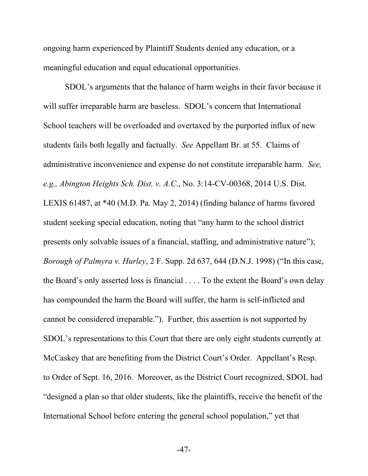ongoing harm experienced by Plaintiff Students denied any education, or a meaningful education and equal educational opportunities.

<span id="page-52-1"></span><span id="page-52-0"></span>SDOL's arguments that the balance of harm weighs in their favor because it will suffer irreparable harm are baseless. SDOL's concern that International School teachers will be overloaded and overtaxed by the purported influx of new students fails both legally and factually. *See* Appellant Br. at 55. Claims of administrative inconvenience and expense do not constitute irreparable harm. *See, e.g., Abington Heights Sch. Dist. v. A.C*., No. 3:14-CV-00368, 2014 U.S. Dist. LEXIS 61487, at \*40 (M.D. Pa. May 2, 2014) (finding balance of harms favored student seeking special education, noting that "any harm to the school district presents only solvable issues of a financial, staffing, and administrative nature"); *Borough of Palmyra v. Hurley*, 2 F. Supp. 2d 637, 644 (D.N.J. 1998) ("In this case, the Board's only asserted loss is financial . . . . To the extent the Board's own delay has compounded the harm the Board will suffer, the harm is self-inflicted and cannot be considered irreparable."). Further, this assertion is not supported by SDOL's representations to this Court that there are only eight students currently at McCaskey that are benefiting from the District Court's Order. Appellant's Resp. to Order of Sept. 16, 2016. Moreover, as the District Court recognized, SDOL had "designed a plan so that older students, like the plaintiffs, receive the benefit of the International School before entering the general school population," yet that

-47-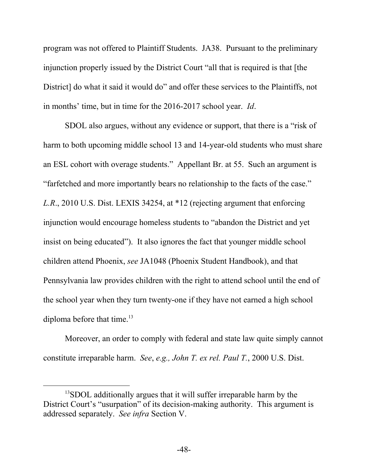program was not offered to Plaintiff Students. JA38. Pursuant to the preliminary injunction properly issued by the District Court "all that is required is that [the District] do what it said it would do" and offer these services to the Plaintiffs, not in months' time, but in time for the 2016-2017 school year. *Id*.

<span id="page-53-0"></span>SDOL also argues, without any evidence or support, that there is a "risk of harm to both upcoming middle school 13 and 14-year-old students who must share an ESL cohort with overage students." Appellant Br. at 55. Such an argument is "farfetched and more importantly bears no relationship to the facts of the case." *L.R*., 2010 U.S. Dist. LEXIS 34254, at \*12 (rejecting argument that enforcing injunction would encourage homeless students to "abandon the District and yet insist on being educated"). It also ignores the fact that younger middle school children attend Phoenix, *see* JA1048 (Phoenix Student Handbook), and that Pennsylvania law provides children with the right to attend school until the end of the school year when they turn twenty-one if they have not earned a high school diploma before that time. $13$ 

Moreover, an order to comply with federal and state law quite simply cannot constitute irreparable harm. *See*, *e.g., John T. ex rel. Paul T.*, 2000 U.S. Dist.

l

<sup>&</sup>lt;sup>13</sup>SDOL additionally argues that it will suffer irreparable harm by the District Court's "usurpation" of its decision-making authority. This argument is addressed separately. *See infra* Section V.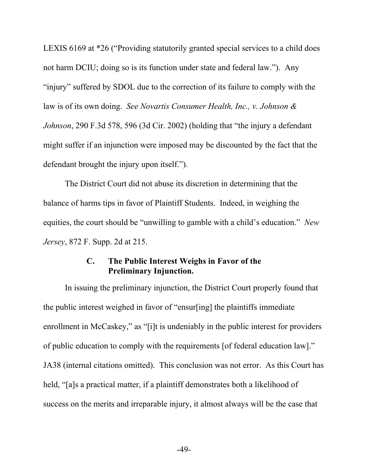<span id="page-54-2"></span>LEXIS 6169 at \*26 ("Providing statutorily granted special services to a child does not harm DCIU; doing so is its function under state and federal law."). Any "injury" suffered by SDOL due to the correction of its failure to comply with the law is of its own doing. *See Novartis Consumer Health, Inc., v. Johnson & Johnson*, 290 F.3d 578, 596 (3d Cir. 2002) (holding that "the injury a defendant might suffer if an injunction were imposed may be discounted by the fact that the defendant brought the injury upon itself.").

The District Court did not abuse its discretion in determining that the balance of harms tips in favor of Plaintiff Students. Indeed, in weighing the equities, the court should be "unwilling to gamble with a child's education." *New Jersey*, 872 F. Supp. 2d at 215.

## <span id="page-54-1"></span><span id="page-54-0"></span>**C. The Public Interest Weighs in Favor of the Preliminary Injunction.**

In issuing the preliminary injunction, the District Court properly found that the public interest weighed in favor of "ensur[ing] the plaintiffs immediate enrollment in McCaskey," as "[i]t is undeniably in the public interest for providers of public education to comply with the requirements [of federal education law]." JA38 (internal citations omitted). This conclusion was not error. As this Court has held, "[a]s a practical matter, if a plaintiff demonstrates both a likelihood of success on the merits and irreparable injury, it almost always will be the case that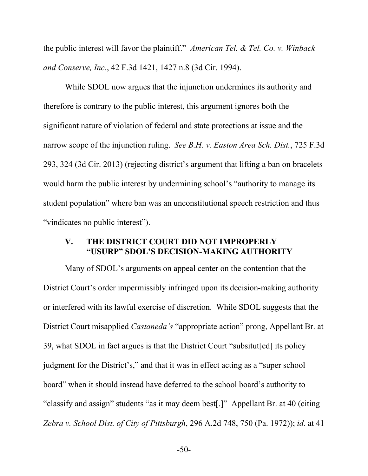<span id="page-55-1"></span>the public interest will favor the plaintiff." *American Tel. & Tel. Co. v. Winback and Conserve, Inc*., 42 F.3d 1421, 1427 n.8 (3d Cir. 1994).

<span id="page-55-2"></span>While SDOL now argues that the injunction undermines its authority and therefore is contrary to the public interest, this argument ignores both the significant nature of violation of federal and state protections at issue and the narrow scope of the injunction ruling. *See B.H. v. Easton Area Sch. Dist.*, 725 F.3d 293, 324 (3d Cir. 2013) (rejecting district's argument that lifting a ban on bracelets would harm the public interest by undermining school's "authority to manage its student population" where ban was an unconstitutional speech restriction and thus "vindicates no public interest").

## <span id="page-55-0"></span>**V. THE DISTRICT COURT DID NOT IMPROPERLY "USURP" SDOL'S DECISION-MAKING AUTHORITY**

<span id="page-55-3"></span>Many of SDOL's arguments on appeal center on the contention that the District Court's order impermissibly infringed upon its decision-making authority or interfered with its lawful exercise of discretion. While SDOL suggests that the District Court misapplied *Castaneda's* "appropriate action" prong, Appellant Br. at 39, what SDOL in fact argues is that the District Court "subsitut[ed] its policy judgment for the District's," and that it was in effect acting as a "super school board" when it should instead have deferred to the school board's authority to "classify and assign" students "as it may deem best[.]" Appellant Br. at 40 (citing *Zebra v. School Dist. of City of Pittsburgh*, 296 A.2d 748, 750 (Pa. 1972)); *id.* at 41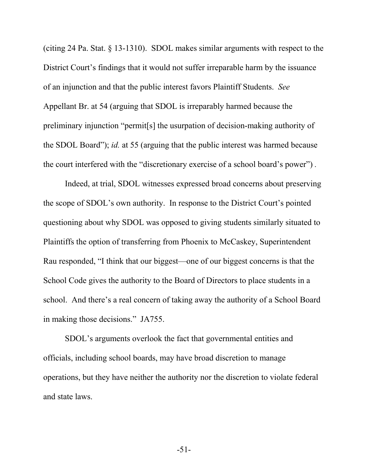(citing 24 Pa. Stat. § 13-1310). SDOL makes similar arguments with respect to the District Court's findings that it would not suffer irreparable harm by the issuance of an injunction and that the public interest favors Plaintiff Students. *See* Appellant Br. at 54 (arguing that SDOL is irreparably harmed because the preliminary injunction "permit[s] the usurpation of decision-making authority of the SDOL Board"); *id.* at 55 (arguing that the public interest was harmed because the court interfered with the "discretionary exercise of a school board's power") *.*

Indeed, at trial, SDOL witnesses expressed broad concerns about preserving the scope of SDOL's own authority. In response to the District Court's pointed questioning about why SDOL was opposed to giving students similarly situated to Plaintiffs the option of transferring from Phoenix to McCaskey, Superintendent Rau responded, "I think that our biggest—one of our biggest concerns is that the School Code gives the authority to the Board of Directors to place students in a school. And there's a real concern of taking away the authority of a School Board in making those decisions." JA755.

SDOL's arguments overlook the fact that governmental entities and officials, including school boards, may have broad discretion to manage operations, but they have neither the authority nor the discretion to violate federal and state laws.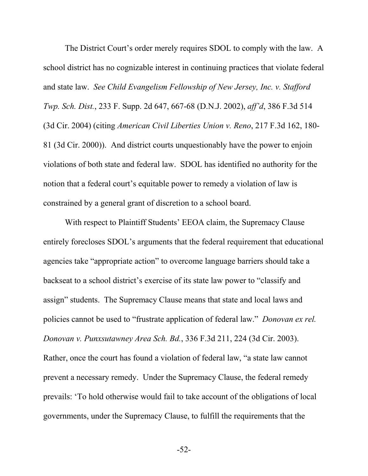<span id="page-57-1"></span><span id="page-57-0"></span>The District Court's order merely requires SDOL to comply with the law. A school district has no cognizable interest in continuing practices that violate federal and state law. *See Child Evangelism Fellowship of New Jersey, Inc. v. Stafford Twp. Sch. Dist.*, 233 F. Supp. 2d 647, 667-68 (D.N.J. 2002), *aff'd*, 386 F.3d 514 (3d Cir. 2004) (citing *American Civil Liberties Union v. Reno*, 217 F.3d 162, 180- 81 (3d Cir. 2000)). And district courts unquestionably have the power to enjoin violations of both state and federal law. SDOL has identified no authority for the notion that a federal court's equitable power to remedy a violation of law is constrained by a general grant of discretion to a school board.

With respect to Plaintiff Students' EEOA claim, the Supremacy Clause entirely forecloses SDOL's arguments that the federal requirement that educational agencies take "appropriate action" to overcome language barriers should take a backseat to a school district's exercise of its state law power to "classify and assign" students. The Supremacy Clause means that state and local laws and policies cannot be used to "frustrate application of federal law." *Donovan ex rel. Donovan v. Punxsutawney Area Sch. Bd.*, 336 F.3d 211, 224 (3d Cir. 2003). Rather, once the court has found a violation of federal law, "a state law cannot prevent a necessary remedy. Under the Supremacy Clause, the federal remedy prevails: 'To hold otherwise would fail to take account of the obligations of local governments, under the Supremacy Clause, to fulfill the requirements that the

<span id="page-57-2"></span>-52-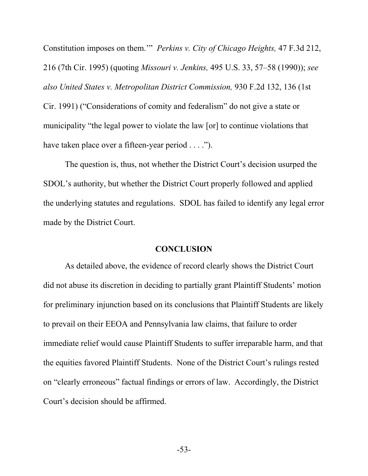<span id="page-58-2"></span><span id="page-58-1"></span><span id="page-58-0"></span>Constitution imposes on them.'" *Perkins v. City of Chicago Heights,* 47 F.3d 212, 216 (7th Cir. 1995) (quoting *Missouri v. Jenkins,* 495 U.S. 33, 57–58 (1990)); *see also United States v. Metropolitan District Commission,* 930 F.2d 132, 136 (1st Cir. 1991) ("Considerations of comity and federalism" do not give a state or municipality "the legal power to violate the law [or] to continue violations that have taken place over a fifteen-year period . . . .").

The question is, thus, not whether the District Court's decision usurped the SDOL's authority, but whether the District Court properly followed and applied the underlying statutes and regulations. SDOL has failed to identify any legal error made by the District Court.

### **CONCLUSION**

As detailed above, the evidence of record clearly shows the District Court did not abuse its discretion in deciding to partially grant Plaintiff Students' motion for preliminary injunction based on its conclusions that Plaintiff Students are likely to prevail on their EEOA and Pennsylvania law claims, that failure to order immediate relief would cause Plaintiff Students to suffer irreparable harm, and that the equities favored Plaintiff Students. None of the District Court's rulings rested on "clearly erroneous" factual findings or errors of law. Accordingly, the District Court's decision should be affirmed.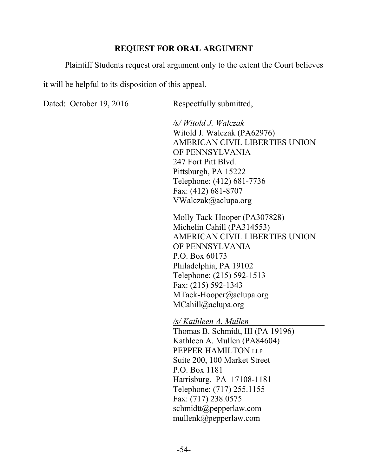## <span id="page-59-0"></span>**REQUEST FOR ORAL ARGUMENT**

Plaintiff Students request oral argument only to the extent the Court believes

it will be helpful to its disposition of this appeal.

Dated: October 19, 2016 Respectfully submitted,

*/s/ Witold J. Walczak* Witold J. Walczak (PA62976) AMERICAN CIVIL LIBERTIES UNION OF PENNSYLVANIA 247 Fort Pitt Blvd. Pittsburgh, PA 15222 Telephone: (412) 681-7736 Fax: (412) 681-8707 VWalczak@aclupa.org

Molly Tack-Hooper (PA307828) Michelin Cahill (PA314553) AMERICAN CIVIL LIBERTIES UNION OF PENNSYLVANIA P.O. Box 60173 Philadelphia, PA 19102 Telephone: (215) 592-1513 Fax: (215) 592-1343 MTack-Hooper@aclupa.org MCahill@aclupa.org

*/s/ Kathleen A. Mullen* Thomas B. Schmidt, III (PA 19196) Kathleen A. Mullen (PA84604) PEPPER HAMILTON LLP Suite 200, 100 Market Street P.O. Box 1181 Harrisburg, PA 17108-1181 Telephone: (717) 255.1155 Fax: (717) 238.0575 schmidtt@pepperlaw.com mullenk@pepperlaw.com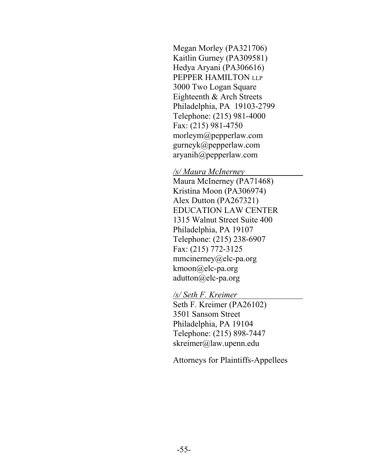Megan Morley (PA321706) Kaitlin Gurney (PA309581) Hedya Aryani (PA306616) PEPPER HAMILTON LLP 3000 Two Logan Square Eighteenth & Arch Streets Philadelphia, PA 19103-2799 Telephone: (215) 981-4000 Fax: (215) 981-4750 morleym@pepperlaw.com gurneyk@pepperlaw.com aryanih@pepperlaw.com

#### */s/ Maura McInerney*

Maura McInerney (PA71468) Kristina Moon (PA306974) Alex Dutton (PA267321) EDUCATION LAW CENTER 1315 Walnut Street Suite 400 Philadelphia, PA 19107 Telephone: (215) 238-6907 Fax: (215) 772-3125 mmcinerney@elc-pa.org kmoon@elc-pa.org adutton@elc-pa.org

#### */s/ Seth F. Kreimer*

Seth F. Kreimer (PA26102) 3501 Sansom Street Philadelphia, PA 19104 Telephone: (215) 898-7447 skreimer@law.upenn.edu

Attorneys for Plaintiffs-Appellees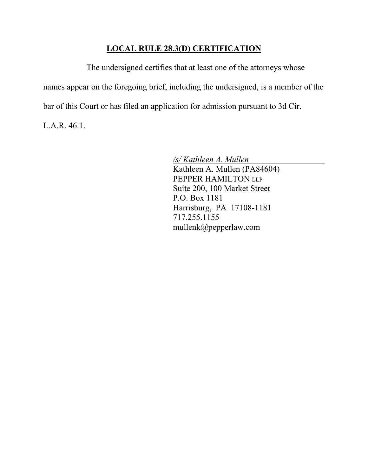## **LOCAL RULE 28.3(D) CERTIFICATION**

The undersigned certifies that at least one of the attorneys whose names appear on the foregoing brief, including the undersigned, is a member of the bar of this Court or has filed an application for admission pursuant to 3d Cir.

L.A.R. 46.1.

*/s/ Kathleen A. Mullen* Kathleen A. Mullen (PA84604) PEPPER HAMILTON LLP Suite 200, 100 Market Street P.O. Box 1181 Harrisburg, PA 17108-1181 717.255.1155 mullenk@pepperlaw.com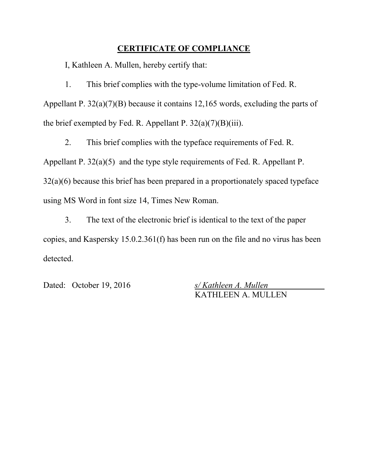### **CERTIFICATE OF COMPLIANCE**

I, Kathleen A. Mullen, hereby certify that:

1. This brief complies with the type-volume limitation of Fed. R. Appellant P. 32(a)(7)(B) because it contains 12,165 words, excluding the parts of the brief exempted by Fed. R. Appellant P.  $32(a)(7)(B)(iii)$ .

2. This brief complies with the typeface requirements of Fed. R. Appellant P. 32(a)(5) and the type style requirements of Fed. R. Appellant P. 32(a)(6) because this brief has been prepared in a proportionately spaced typeface using MS Word in font size 14, Times New Roman.

3. The text of the electronic brief is identical to the text of the paper copies, and Kaspersky 15.0.2.361(f) has been run on the file and no virus has been detected.

Dated: October 19, 2016 *s/ Kathleen A. Mullen*

KATHLEEN A. MULLEN